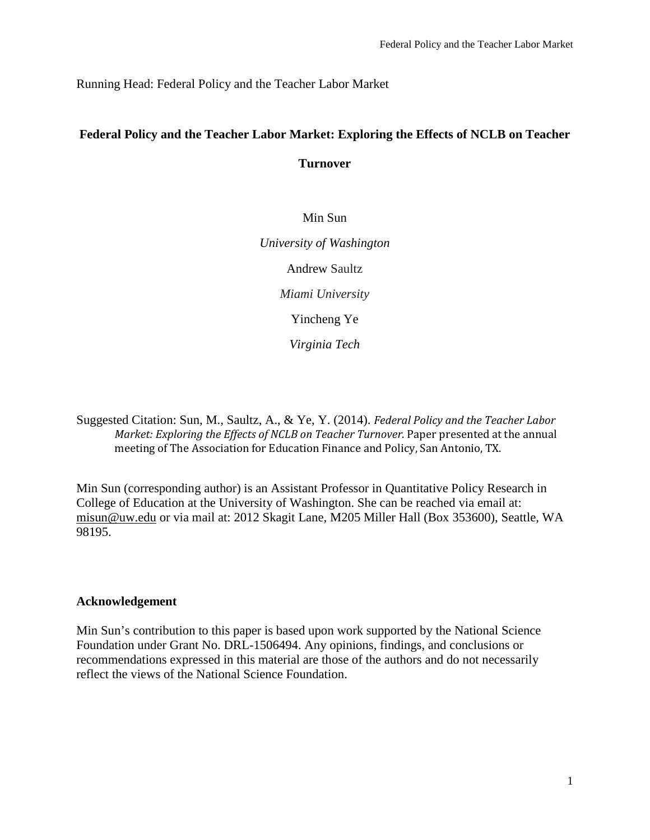Running Head: Federal Policy and the Teacher Labor Market

# **Federal Policy and the Teacher Labor Market: Exploring the Effects of NCLB on Teacher**

**Turnover**

# Min Sun

*University of Washington* Andrew Saultz *Miami University* Yincheng Ye *Virginia Tech*

Suggested Citation: Sun, M., Saultz, A., & Ye, Y. (2014). *Federal Policy and the Teacher Labor Market: Exploring the Effects of NCLB on Teacher Turnover*. Paper presented at the annual meeting of The Association for Education Finance and Policy, San Antonio, TX.

Min Sun (corresponding author) is an Assistant Professor in Quantitative Policy Research in College of Education at the University of Washington. She can be reached via email at: [misun@uw.edu](mailto:misun@uw.edu) or via mail at: 2012 Skagit Lane, M205 Miller Hall (Box 353600), Seattle, WA 98195.

# **Acknowledgement**

Min Sun's contribution to this paper is based upon work supported by the National Science Foundation under Grant No. DRL-1506494. Any opinions, findings, and conclusions or recommendations expressed in this material are those of the authors and do not necessarily reflect the views of the National Science Foundation.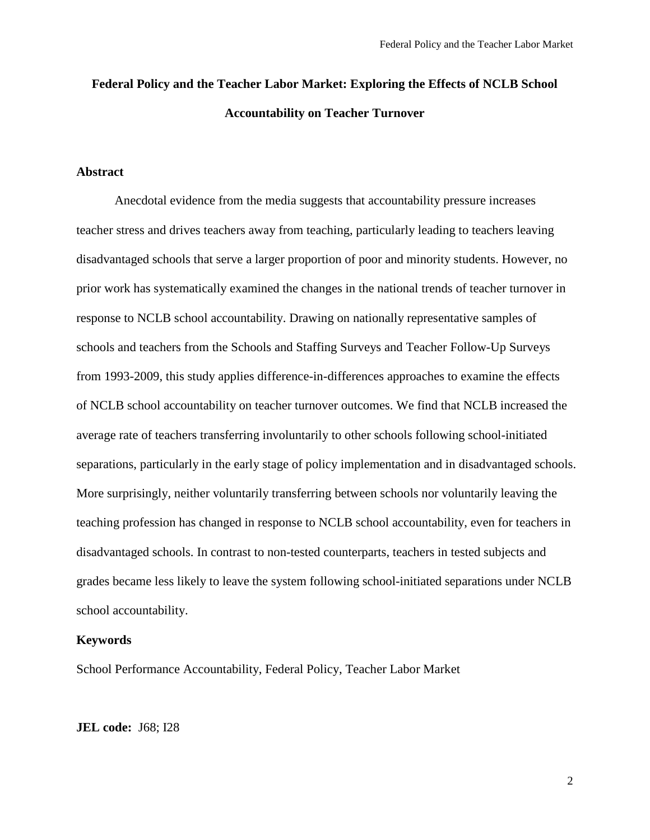# **Federal Policy and the Teacher Labor Market: Exploring the Effects of NCLB School Accountability on Teacher Turnover**

## **Abstract**

Anecdotal evidence from the media suggests that accountability pressure increases teacher stress and drives teachers away from teaching, particularly leading to teachers leaving disadvantaged schools that serve a larger proportion of poor and minority students. However, no prior work has systematically examined the changes in the national trends of teacher turnover in response to NCLB school accountability. Drawing on nationally representative samples of schools and teachers from the Schools and Staffing Surveys and Teacher Follow-Up Surveys from 1993-2009, this study applies difference-in-differences approaches to examine the effects of NCLB school accountability on teacher turnover outcomes. We find that NCLB increased the average rate of teachers transferring involuntarily to other schools following school-initiated separations, particularly in the early stage of policy implementation and in disadvantaged schools. More surprisingly, neither voluntarily transferring between schools nor voluntarily leaving the teaching profession has changed in response to NCLB school accountability, even for teachers in disadvantaged schools. In contrast to non-tested counterparts, teachers in tested subjects and grades became less likely to leave the system following school-initiated separations under NCLB school accountability.

## **Keywords**

School Performance Accountability, Federal Policy, Teacher Labor Market

#### **JEL code:** J68; I28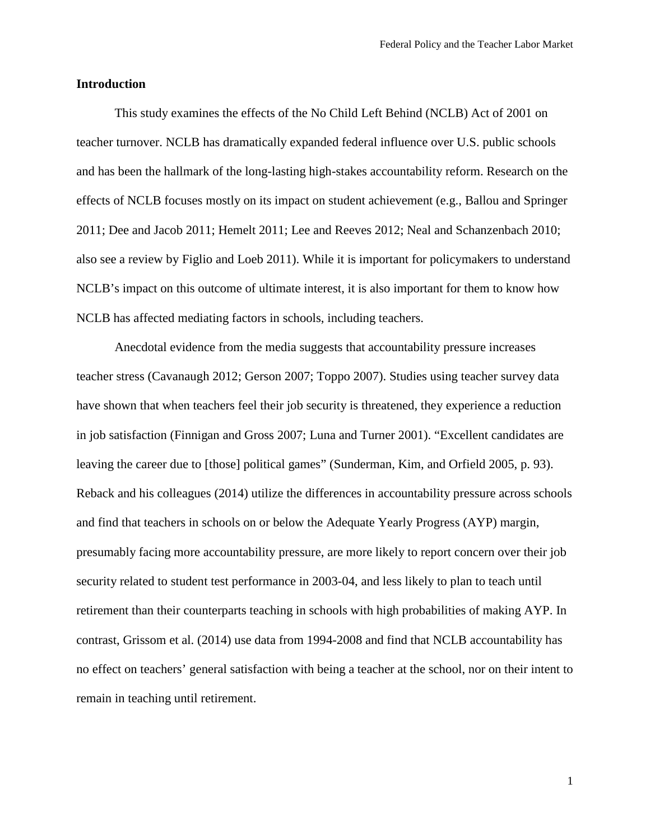## **Introduction**

This study examines the effects of the No Child Left Behind (NCLB) Act of 2001 on teacher turnover. NCLB has dramatically expanded federal influence over U.S. public schools and has been the hallmark of the long-lasting high-stakes accountability reform. Research on the effects of NCLB focuses mostly on its impact on student achievement (e.g., Ballou and Springer 2011; Dee and Jacob 2011; Hemelt 2011; Lee and Reeves 2012; Neal and Schanzenbach 2010; also see a review by Figlio and Loeb 2011). While it is important for policymakers to understand NCLB's impact on this outcome of ultimate interest, it is also important for them to know how NCLB has affected mediating factors in schools, including teachers.

Anecdotal evidence from the media suggests that accountability pressure increases teacher stress (Cavanaugh 2012; Gerson 2007; Toppo 2007). Studies using teacher survey data have shown that when teachers feel their job security is threatened, they experience a reduction in job satisfaction (Finnigan and Gross 2007; Luna and Turner 2001). "Excellent candidates are leaving the career due to [those] political games" (Sunderman, Kim, and Orfield 2005, p. 93). Reback and his colleagues (2014) utilize the differences in accountability pressure across schools and find that teachers in schools on or below the Adequate Yearly Progress (AYP) margin, presumably facing more accountability pressure, are more likely to report concern over their job security related to student test performance in 2003-04, and less likely to plan to teach until retirement than their counterparts teaching in schools with high probabilities of making AYP. In contrast, Grissom et al. (2014) use data from 1994-2008 and find that NCLB accountability has no effect on teachers' general satisfaction with being a teacher at the school, nor on their intent to remain in teaching until retirement.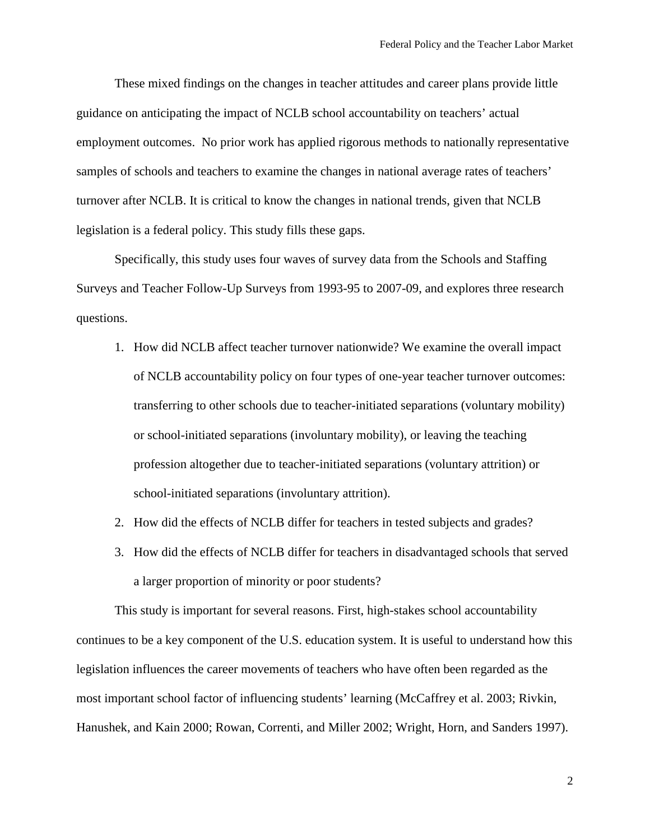These mixed findings on the changes in teacher attitudes and career plans provide little guidance on anticipating the impact of NCLB school accountability on teachers' actual employment outcomes. No prior work has applied rigorous methods to nationally representative samples of schools and teachers to examine the changes in national average rates of teachers' turnover after NCLB. It is critical to know the changes in national trends, given that NCLB legislation is a federal policy. This study fills these gaps.

Specifically, this study uses four waves of survey data from the Schools and Staffing Surveys and Teacher Follow-Up Surveys from 1993-95 to 2007-09, and explores three research questions.

- 1. How did NCLB affect teacher turnover nationwide? We examine the overall impact of NCLB accountability policy on four types of one-year teacher turnover outcomes: transferring to other schools due to teacher-initiated separations (voluntary mobility) or school-initiated separations (involuntary mobility), or leaving the teaching profession altogether due to teacher-initiated separations (voluntary attrition) or school-initiated separations (involuntary attrition).
- 2. How did the effects of NCLB differ for teachers in tested subjects and grades?
- 3. How did the effects of NCLB differ for teachers in disadvantaged schools that served a larger proportion of minority or poor students?

This study is important for several reasons. First, high-stakes school accountability continues to be a key component of the U.S. education system. It is useful to understand how this legislation influences the career movements of teachers who have often been regarded as the most important school factor of influencing students' learning (McCaffrey et al. 2003; Rivkin, Hanushek, and Kain 2000; Rowan, Correnti, and Miller 2002; Wright, Horn, and Sanders 1997).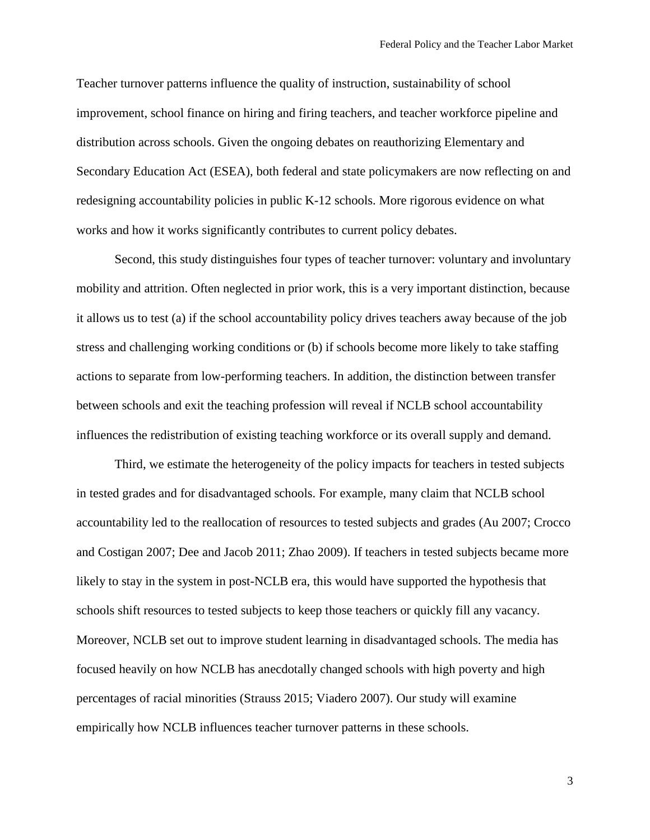Teacher turnover patterns influence the quality of instruction, sustainability of school improvement, school finance on hiring and firing teachers, and teacher workforce pipeline and distribution across schools. Given the ongoing debates on reauthorizing Elementary and Secondary Education Act (ESEA), both federal and state policymakers are now reflecting on and redesigning accountability policies in public K-12 schools. More rigorous evidence on what works and how it works significantly contributes to current policy debates.

Second, this study distinguishes four types of teacher turnover: voluntary and involuntary mobility and attrition. Often neglected in prior work, this is a very important distinction, because it allows us to test (a) if the school accountability policy drives teachers away because of the job stress and challenging working conditions or (b) if schools become more likely to take staffing actions to separate from low-performing teachers. In addition, the distinction between transfer between schools and exit the teaching profession will reveal if NCLB school accountability influences the redistribution of existing teaching workforce or its overall supply and demand.

Third, we estimate the heterogeneity of the policy impacts for teachers in tested subjects in tested grades and for disadvantaged schools. For example, many claim that NCLB school accountability led to the reallocation of resources to tested subjects and grades (Au 2007; Crocco and Costigan 2007; Dee and Jacob 2011; Zhao 2009). If teachers in tested subjects became more likely to stay in the system in post-NCLB era, this would have supported the hypothesis that schools shift resources to tested subjects to keep those teachers or quickly fill any vacancy. Moreover, NCLB set out to improve student learning in disadvantaged schools. The media has focused heavily on how NCLB has anecdotally changed schools with high poverty and high percentages of racial minorities (Strauss 2015; Viadero 2007). Our study will examine empirically how NCLB influences teacher turnover patterns in these schools.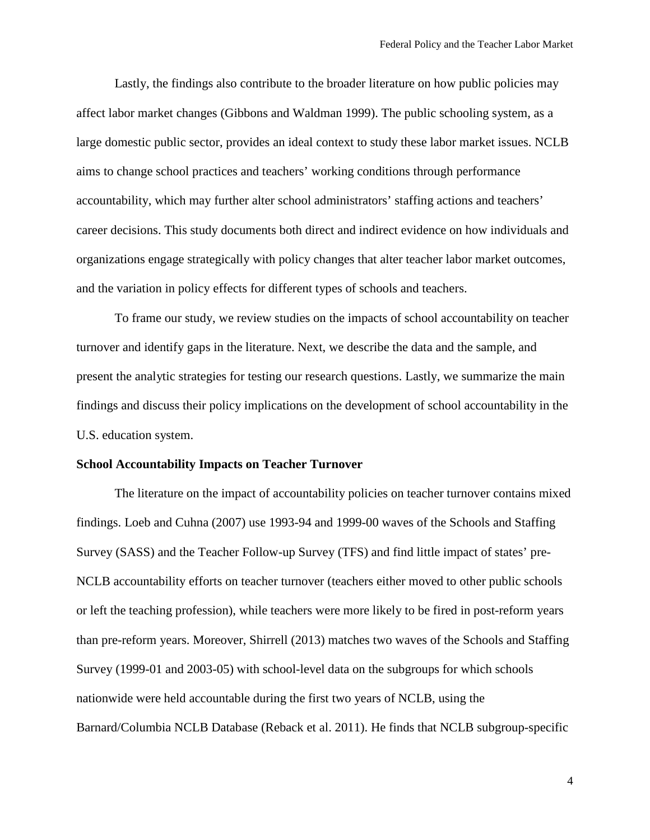Lastly, the findings also contribute to the broader literature on how public policies may affect labor market changes (Gibbons and Waldman 1999). The public schooling system, as a large domestic public sector, provides an ideal context to study these labor market issues. NCLB aims to change school practices and teachers' working conditions through performance accountability, which may further alter school administrators' staffing actions and teachers' career decisions. This study documents both direct and indirect evidence on how individuals and organizations engage strategically with policy changes that alter teacher labor market outcomes, and the variation in policy effects for different types of schools and teachers.

To frame our study, we review studies on the impacts of school accountability on teacher turnover and identify gaps in the literature. Next, we describe the data and the sample, and present the analytic strategies for testing our research questions. Lastly, we summarize the main findings and discuss their policy implications on the development of school accountability in the U.S. education system.

#### **School Accountability Impacts on Teacher Turnover**

The literature on the impact of accountability policies on teacher turnover contains mixed findings. Loeb and Cuhna (2007) use 1993-94 and 1999-00 waves of the Schools and Staffing Survey (SASS) and the Teacher Follow-up Survey (TFS) and find little impact of states' pre-NCLB accountability efforts on teacher turnover (teachers either moved to other public schools or left the teaching profession), while teachers were more likely to be fired in post-reform years than pre-reform years. Moreover, Shirrell (2013) matches two waves of the Schools and Staffing Survey (1999-01 and 2003-05) with school-level data on the subgroups for which schools nationwide were held accountable during the first two years of NCLB, using the Barnard/Columbia NCLB Database (Reback et al. 2011). He finds that NCLB subgroup-specific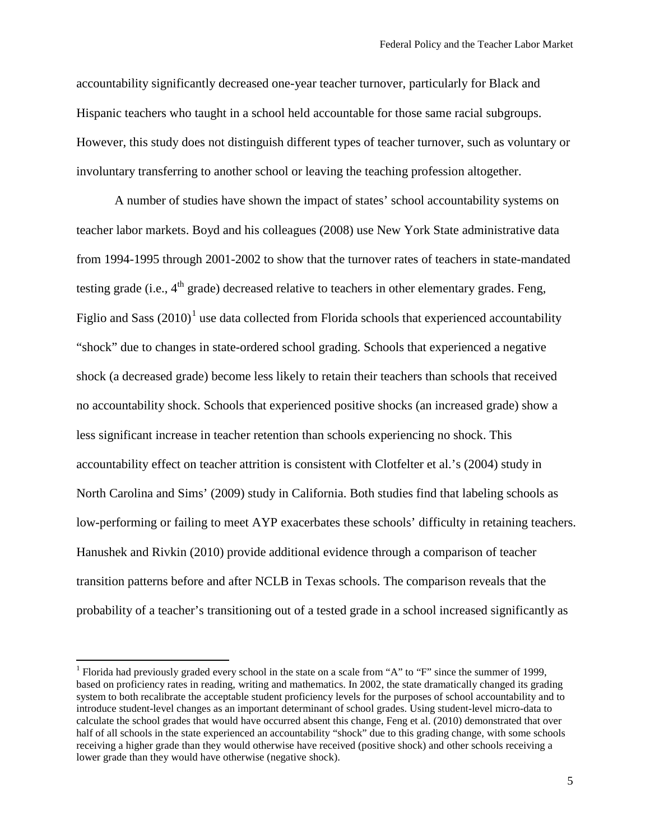accountability significantly decreased one-year teacher turnover, particularly for Black and Hispanic teachers who taught in a school held accountable for those same racial subgroups. However, this study does not distinguish different types of teacher turnover, such as voluntary or involuntary transferring to another school or leaving the teaching profession altogether.

A number of studies have shown the impact of states' school accountability systems on teacher labor markets. Boyd and his colleagues (2008) use New York State administrative data from 1994-1995 through 2001-2002 to show that the turnover rates of teachers in state-mandated testing grade (i.e.,  $4<sup>th</sup>$  grade) decreased relative to teachers in other elementary grades. Feng, Figlio and Sass  $(2010)^1$  $(2010)^1$  $(2010)^1$  use data collected from Florida schools that experienced accountability "shock" due to changes in state-ordered school grading. Schools that experienced a negative shock (a decreased grade) become less likely to retain their teachers than schools that received no accountability shock. Schools that experienced positive shocks (an increased grade) show a less significant increase in teacher retention than schools experiencing no shock. This accountability effect on teacher attrition is consistent with Clotfelter et al.'s (2004) study in North Carolina and Sims' (2009) study in California. Both studies find that labeling schools as low-performing or failing to meet AYP exacerbates these schools' difficulty in retaining teachers. Hanushek and Rivkin (2010) provide additional evidence through a comparison of teacher transition patterns before and after NCLB in Texas schools. The comparison reveals that the probability of a teacher's transitioning out of a tested grade in a school increased significantly as

 $\overline{\phantom{a}}$ 

<span id="page-6-0"></span><sup>&</sup>lt;sup>1</sup> Florida had previously graded every school in the state on a scale from "A" to "F" since the summer of 1999, based on proficiency rates in reading, writing and mathematics. In 2002, the state dramatically changed its grading system to both recalibrate the acceptable student proficiency levels for the purposes of school accountability and to introduce student-level changes as an important determinant of school grades. Using student-level micro-data to calculate the school grades that would have occurred absent this change, Feng et al. (2010) demonstrated that over half of all schools in the state experienced an accountability "shock" due to this grading change, with some schools receiving a higher grade than they would otherwise have received (positive shock) and other schools receiving a lower grade than they would have otherwise (negative shock).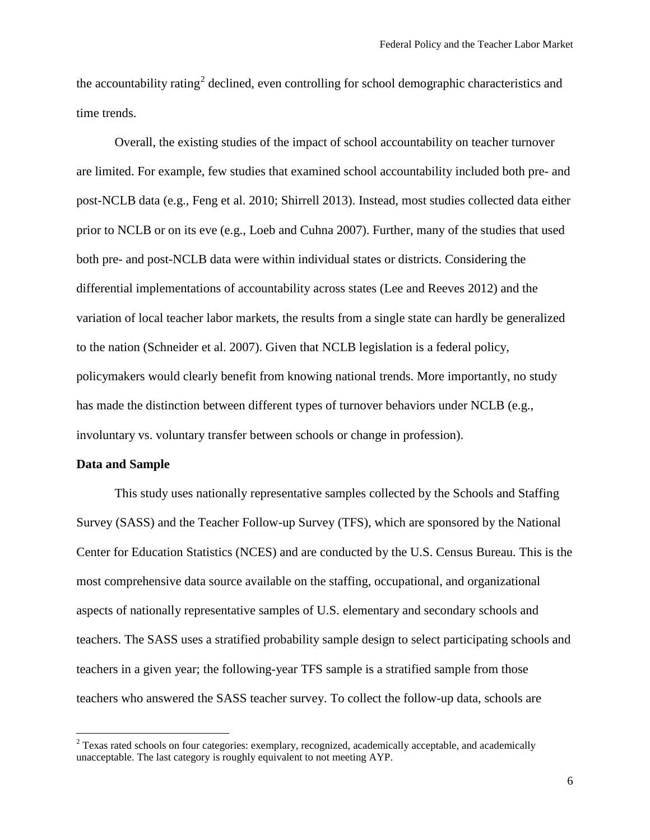the accountability rating<sup>[2](#page-7-0)</sup> declined, even controlling for school demographic characteristics and time trends.

Overall, the existing studies of the impact of school accountability on teacher turnover are limited. For example, few studies that examined school accountability included both pre- and post-NCLB data (e.g., Feng et al. 2010; Shirrell 2013). Instead, most studies collected data either prior to NCLB or on its eve (e.g., Loeb and Cuhna 2007). Further, many of the studies that used both pre- and post-NCLB data were within individual states or districts. Considering the differential implementations of accountability across states (Lee and Reeves 2012) and the variation of local teacher labor markets, the results from a single state can hardly be generalized to the nation (Schneider et al. 2007). Given that NCLB legislation is a federal policy, policymakers would clearly benefit from knowing national trends. More importantly, no study has made the distinction between different types of turnover behaviors under NCLB (e.g., involuntary vs. voluntary transfer between schools or change in profession).

#### **Data and Sample**

l

This study uses nationally representative samples collected by the Schools and Staffing Survey (SASS) and the Teacher Follow-up Survey (TFS), which are sponsored by the National Center for Education Statistics (NCES) and are conducted by the U.S. Census Bureau. This is the most comprehensive data source available on the staffing, occupational, and organizational aspects of nationally representative samples of U.S. elementary and secondary schools and teachers. The SASS uses a stratified probability sample design to select participating schools and teachers in a given year; the following-year TFS sample is a stratified sample from those teachers who answered the SASS teacher survey. To collect the follow-up data, schools are

<span id="page-7-0"></span> $2$  Texas rated schools on four categories: exemplary, recognized, academically acceptable, and academically unacceptable. The last category is roughly equivalent to not meeting AYP.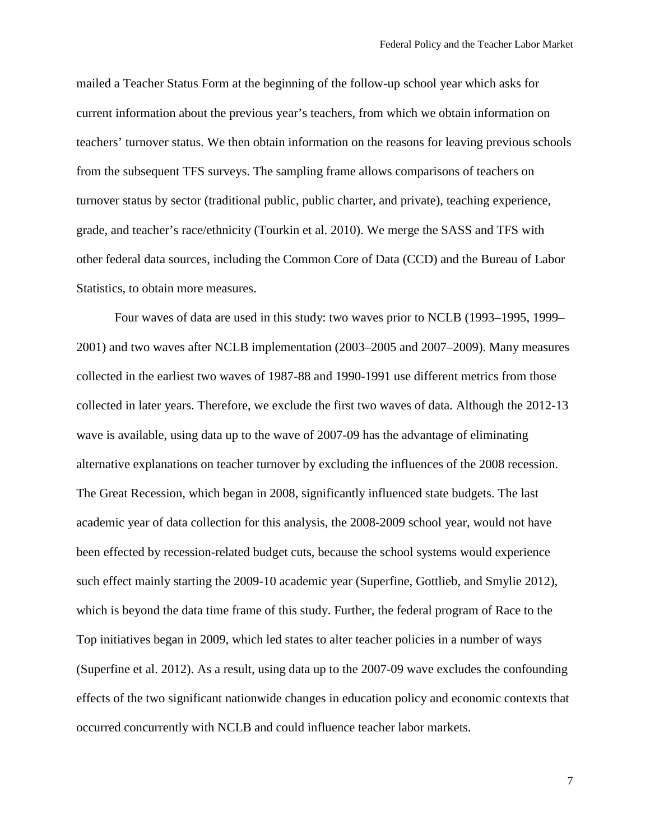mailed a Teacher Status Form at the beginning of the follow-up school year which asks for current information about the previous year's teachers, from which we obtain information on teachers' turnover status. We then obtain information on the reasons for leaving previous schools from the subsequent TFS surveys. The sampling frame allows comparisons of teachers on turnover status by sector (traditional public, public charter, and private), teaching experience, grade, and teacher's race/ethnicity (Tourkin et al. 2010). We merge the SASS and TFS with other federal data sources, including the Common Core of Data (CCD) and the Bureau of Labor Statistics, to obtain more measures.

Four waves of data are used in this study: two waves prior to NCLB (1993–1995, 1999– 2001) and two waves after NCLB implementation (2003–2005 and 2007–2009). Many measures collected in the earliest two waves of 1987-88 and 1990-1991 use different metrics from those collected in later years. Therefore, we exclude the first two waves of data. Although the 2012-13 wave is available, using data up to the wave of 2007-09 has the advantage of eliminating alternative explanations on teacher turnover by excluding the influences of the 2008 recession. The Great Recession, which began in 2008, significantly influenced state budgets. The last academic year of data collection for this analysis, the 2008-2009 school year, would not have been effected by recession-related budget cuts, because the school systems would experience such effect mainly starting the 2009-10 academic year (Superfine, Gottlieb, and Smylie 2012), which is beyond the data time frame of this study. Further, the federal program of Race to the Top initiatives began in 2009, which led states to alter teacher policies in a number of ways (Superfine et al. 2012). As a result, using data up to the 2007-09 wave excludes the confounding effects of the two significant nationwide changes in education policy and economic contexts that occurred concurrently with NCLB and could influence teacher labor markets.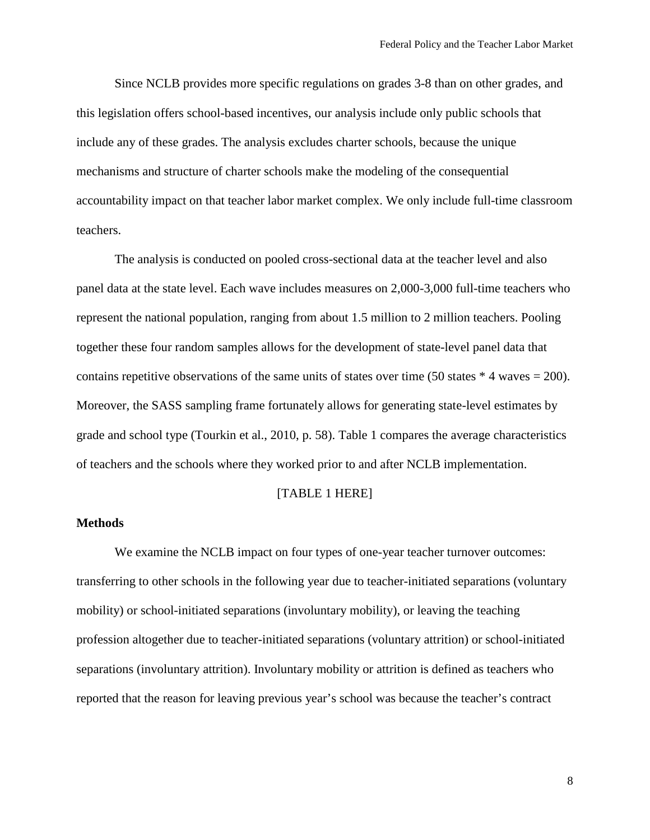Since NCLB provides more specific regulations on grades 3-8 than on other grades, and this legislation offers school-based incentives, our analysis include only public schools that include any of these grades. The analysis excludes charter schools, because the unique mechanisms and structure of charter schools make the modeling of the consequential accountability impact on that teacher labor market complex. We only include full-time classroom teachers.

The analysis is conducted on pooled cross-sectional data at the teacher level and also panel data at the state level. Each wave includes measures on 2,000-3,000 full-time teachers who represent the national population, ranging from about 1.5 million to 2 million teachers. Pooling together these four random samples allows for the development of state-level panel data that contains repetitive observations of the same units of states over time (50 states  $*$  4 waves = 200). Moreover, the SASS sampling frame fortunately allows for generating state-level estimates by grade and school type (Tourkin et al., 2010, p. 58). Table 1 compares the average characteristics of teachers and the schools where they worked prior to and after NCLB implementation.

## [TABLE 1 HERE]

## **Methods**

We examine the NCLB impact on four types of one-year teacher turnover outcomes: transferring to other schools in the following year due to teacher-initiated separations (voluntary mobility) or school-initiated separations (involuntary mobility), or leaving the teaching profession altogether due to teacher-initiated separations (voluntary attrition) or school-initiated separations (involuntary attrition). Involuntary mobility or attrition is defined as teachers who reported that the reason for leaving previous year's school was because the teacher's contract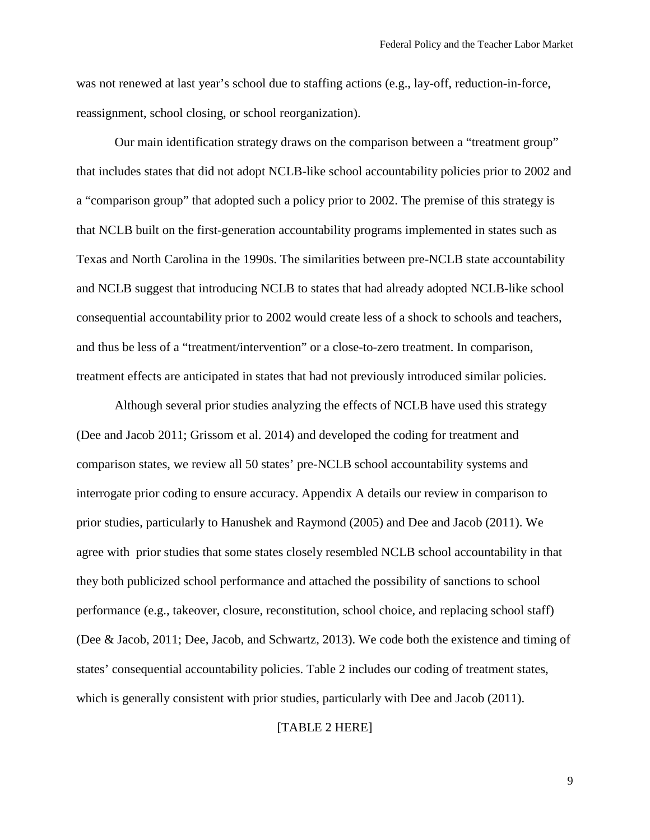was not renewed at last year's school due to staffing actions (e.g., lay-off, reduction-in-force, reassignment, school closing, or school reorganization).

Our main identification strategy draws on the comparison between a "treatment group" that includes states that did not adopt NCLB-like school accountability policies prior to 2002 and a "comparison group" that adopted such a policy prior to 2002. The premise of this strategy is that NCLB built on the first-generation accountability programs implemented in states such as Texas and North Carolina in the 1990s. The similarities between pre-NCLB state accountability and NCLB suggest that introducing NCLB to states that had already adopted NCLB-like school consequential accountability prior to 2002 would create less of a shock to schools and teachers, and thus be less of a "treatment/intervention" or a close-to-zero treatment. In comparison, treatment effects are anticipated in states that had not previously introduced similar policies.

Although several prior studies analyzing the effects of NCLB have used this strategy (Dee and Jacob 2011; Grissom et al. 2014) and developed the coding for treatment and comparison states, we review all 50 states' pre-NCLB school accountability systems and interrogate prior coding to ensure accuracy. Appendix A details our review in comparison to prior studies, particularly to Hanushek and Raymond (2005) and Dee and Jacob (2011). We agree with prior studies that some states closely resembled NCLB school accountability in that they both publicized school performance and attached the possibility of sanctions to school performance (e.g., takeover, closure, reconstitution, school choice, and replacing school staff) (Dee & Jacob, 2011; Dee, Jacob, and Schwartz, 2013). We code both the existence and timing of states' consequential accountability policies. Table 2 includes our coding of treatment states, which is generally consistent with prior studies, particularly with Dee and Jacob (2011).

[TABLE 2 HERE]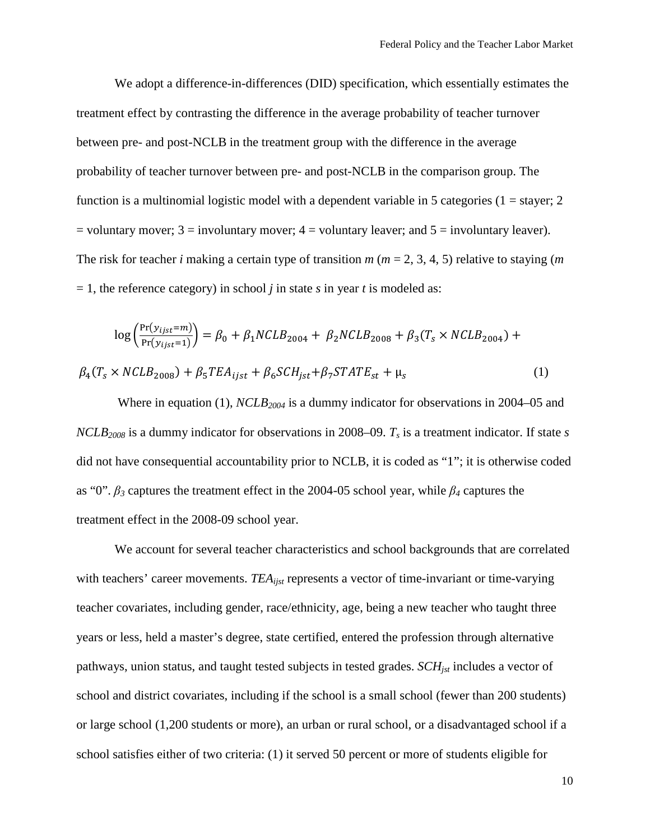We adopt a difference-in-differences (DID) specification, which essentially estimates the treatment effect by contrasting the difference in the average probability of teacher turnover between pre- and post-NCLB in the treatment group with the difference in the average probability of teacher turnover between pre- and post-NCLB in the comparison group. The function is a multinomial logistic model with a dependent variable in 5 categories ( $1 =$ stayer; 2  $=$  voluntary mover; 3  $=$  involuntary mover; 4  $=$  voluntary leaver; and 5  $=$  involuntary leaver). The risk for teacher *i* making a certain type of transition *m* (*m* = 2, 3, 4, 5) relative to staying (*m*   $= 1$ , the reference category) in school *j* in state *s* in year *t* is modeled as:

$$
\log \left( \frac{\Pr(y_{ijst} = m)}{\Pr(y_{ijst} = 1)} \right) = \beta_0 + \beta_1 NCLB_{2004} + \beta_2 NCLB_{2008} + \beta_3 (T_s \times NCLB_{2004}) +
$$
  

$$
\beta_4 (T_s \times NCLB_{2008}) + \beta_5 TEA_{ijst} + \beta_6 SCH_{jst} + \beta_7 STATE_{st} + \mu_s
$$
 (1)

Where in equation (1),  $NCLB_{2004}$  is a dummy indicator for observations in 2004–05 and *NCLB2008* is a dummy indicator for observations in 2008–09. *Ts* is a treatment indicator. If state *s* did not have consequential accountability prior to NCLB, it is coded as "1"; it is otherwise coded as "0". *β<sup>3</sup>* captures the treatment effect in the 2004-05 school year, while *β<sup>4</sup>* captures the treatment effect in the 2008-09 school year.

We account for several teacher characteristics and school backgrounds that are correlated with teachers' career movements. *TEA<sub>ijst</sub>* represents a vector of time-invariant or time-varying teacher covariates, including gender, race/ethnicity, age, being a new teacher who taught three years or less, held a master's degree, state certified, entered the profession through alternative pathways, union status, and taught tested subjects in tested grades. *SCH<sub>ist</sub>* includes a vector of school and district covariates, including if the school is a small school (fewer than 200 students) or large school (1,200 students or more), an urban or rural school, or a disadvantaged school if a school satisfies either of two criteria: (1) it served 50 percent or more of students eligible for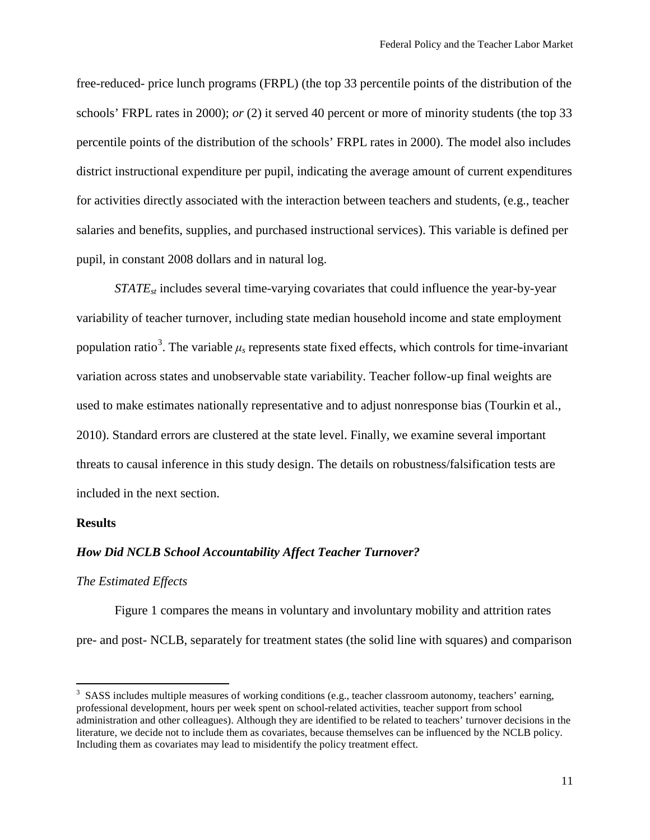free-reduced- price lunch programs (FRPL) (the top 33 percentile points of the distribution of the schools' FRPL rates in 2000); *or* (2) it served 40 percent or more of minority students (the top 33 percentile points of the distribution of the schools' FRPL rates in 2000). The model also includes district instructional expenditure per pupil, indicating the average amount of current expenditures for activities directly associated with the interaction between teachers and students, (e.g., teacher salaries and benefits, supplies, and purchased instructional services). This variable is defined per pupil, in constant 2008 dollars and in natural log.

*STATE<sub>st</sub>* includes several time-varying covariates that could influence the year-by-year variability of teacher turnover, including state median household income and state employment population ratio<sup>[3](#page-12-0)</sup>. The variable  $\mu_s$  represents state fixed effects, which controls for time-invariant variation across states and unobservable state variability. Teacher follow-up final weights are used to make estimates nationally representative and to adjust nonresponse bias (Tourkin et al., 2010). Standard errors are clustered at the state level. Finally, we examine several important threats to causal inference in this study design. The details on robustness/falsification tests are included in the next section.

## **Results**

 $\overline{\phantom{a}}$ 

#### *How Did NCLB School Accountability Affect Teacher Turnover?*

#### *The Estimated Effects*

Figure 1 compares the means in voluntary and involuntary mobility and attrition rates pre- and post- NCLB, separately for treatment states (the solid line with squares) and comparison

<span id="page-12-0"></span><sup>&</sup>lt;sup>3</sup> SASS includes multiple measures of working conditions (e.g., teacher classroom autonomy, teachers' earning, professional development, hours per week spent on school-related activities, teacher support from school administration and other colleagues). Although they are identified to be related to teachers' turnover decisions in the literature, we decide not to include them as covariates, because themselves can be influenced by the NCLB policy. Including them as covariates may lead to misidentify the policy treatment effect.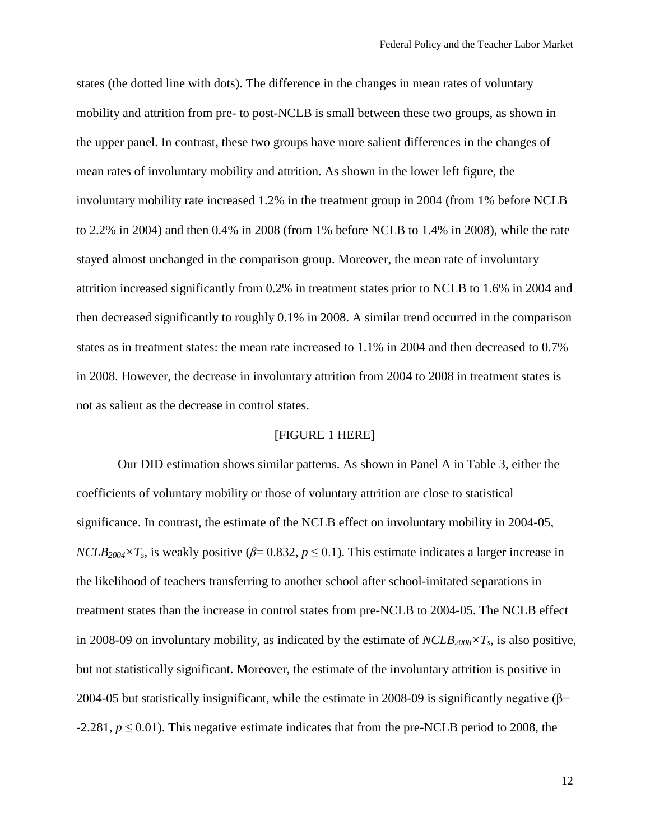states (the dotted line with dots). The difference in the changes in mean rates of voluntary mobility and attrition from pre- to post-NCLB is small between these two groups, as shown in the upper panel. In contrast, these two groups have more salient differences in the changes of mean rates of involuntary mobility and attrition. As shown in the lower left figure, the involuntary mobility rate increased 1.2% in the treatment group in 2004 (from 1% before NCLB to 2.2% in 2004) and then 0.4% in 2008 (from 1% before NCLB to 1.4% in 2008), while the rate stayed almost unchanged in the comparison group. Moreover, the mean rate of involuntary attrition increased significantly from 0.2% in treatment states prior to NCLB to 1.6% in 2004 and then decreased significantly to roughly 0.1% in 2008. A similar trend occurred in the comparison states as in treatment states: the mean rate increased to 1.1% in 2004 and then decreased to 0.7% in 2008. However, the decrease in involuntary attrition from 2004 to 2008 in treatment states is not as salient as the decrease in control states.

#### [FIGURE 1 HERE]

Our DID estimation shows similar patterns. As shown in Panel A in Table 3, either the coefficients of voluntary mobility or those of voluntary attrition are close to statistical significance. In contrast, the estimate of the NCLB effect on involuntary mobility in 2004-05, *NCLB*<sub>2004</sub>×T<sub>s</sub>, is weakly positive ( $\beta$ = 0.832,  $p \le 0.1$ ). This estimate indicates a larger increase in the likelihood of teachers transferring to another school after school-imitated separations in treatment states than the increase in control states from pre-NCLB to 2004-05. The NCLB effect in 2008-09 on involuntary mobility, as indicated by the estimate of  $NCLB_{2008} \times T_s$ , is also positive, but not statistically significant. Moreover, the estimate of the involuntary attrition is positive in 2004-05 but statistically insignificant, while the estimate in 2008-09 is significantly negative  $(\beta$ =  $-2.281, p \le 0.01$ ). This negative estimate indicates that from the pre-NCLB period to 2008, the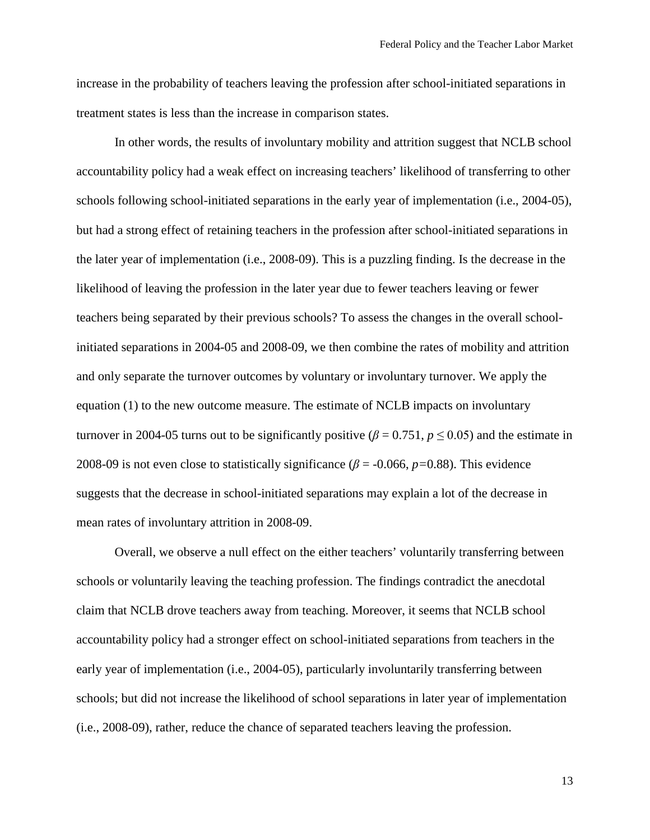increase in the probability of teachers leaving the profession after school-initiated separations in treatment states is less than the increase in comparison states.

In other words, the results of involuntary mobility and attrition suggest that NCLB school accountability policy had a weak effect on increasing teachers' likelihood of transferring to other schools following school-initiated separations in the early year of implementation (i.e., 2004-05), but had a strong effect of retaining teachers in the profession after school-initiated separations in the later year of implementation (i.e., 2008-09). This is a puzzling finding. Is the decrease in the likelihood of leaving the profession in the later year due to fewer teachers leaving or fewer teachers being separated by their previous schools? To assess the changes in the overall schoolinitiated separations in 2004-05 and 2008-09, we then combine the rates of mobility and attrition and only separate the turnover outcomes by voluntary or involuntary turnover. We apply the equation (1) to the new outcome measure. The estimate of NCLB impacts on involuntary turnover in 2004-05 turns out to be significantly positive ( $\beta$  = 0.751,  $p \le 0.05$ ) and the estimate in 2008-09 is not even close to statistically significance (*β* = -0.066, *p=*0.88). This evidence suggests that the decrease in school-initiated separations may explain a lot of the decrease in mean rates of involuntary attrition in 2008-09.

Overall, we observe a null effect on the either teachers' voluntarily transferring between schools or voluntarily leaving the teaching profession. The findings contradict the anecdotal claim that NCLB drove teachers away from teaching. Moreover, it seems that NCLB school accountability policy had a stronger effect on school-initiated separations from teachers in the early year of implementation (i.e., 2004-05), particularly involuntarily transferring between schools; but did not increase the likelihood of school separations in later year of implementation (i.e., 2008-09), rather, reduce the chance of separated teachers leaving the profession.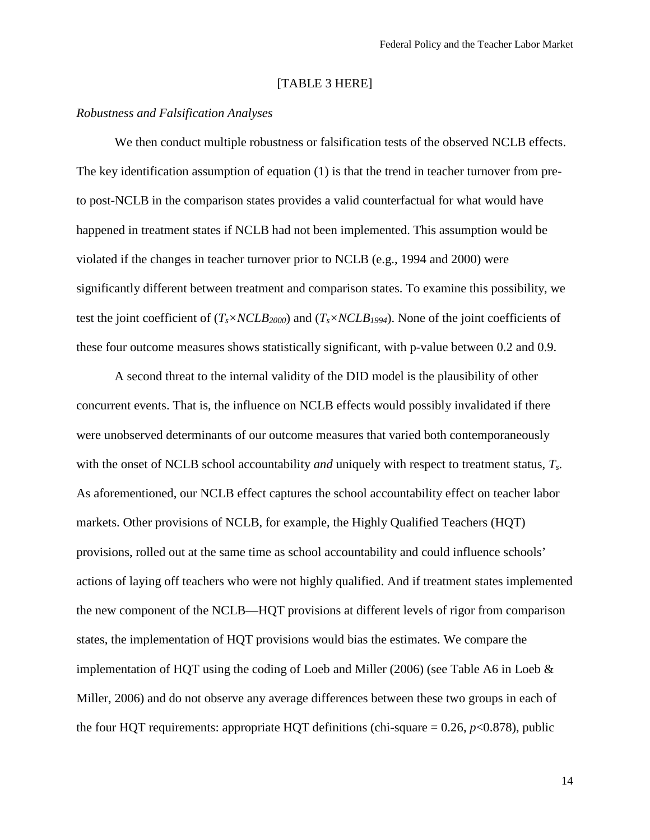## [TABLE 3 HERE]

## *Robustness and Falsification Analyses*

We then conduct multiple robustness or falsification tests of the observed NCLB effects. The key identification assumption of equation (1) is that the trend in teacher turnover from preto post-NCLB in the comparison states provides a valid counterfactual for what would have happened in treatment states if NCLB had not been implemented. This assumption would be violated if the changes in teacher turnover prior to NCLB (e.g., 1994 and 2000) were significantly different between treatment and comparison states. To examine this possibility, we test the joint coefficient of  $(T_s \times NCLB_{2000})$  and  $(T_s \times NCLB_{1994})$ . None of the joint coefficients of these four outcome measures shows statistically significant, with p-value between 0.2 and 0.9.

A second threat to the internal validity of the DID model is the plausibility of other concurrent events. That is, the influence on NCLB effects would possibly invalidated if there were unobserved determinants of our outcome measures that varied both contemporaneously with the onset of NCLB school accountability *and* uniquely with respect to treatment status, *Ts*. As aforementioned, our NCLB effect captures the school accountability effect on teacher labor markets. Other provisions of NCLB, for example, the Highly Qualified Teachers (HQT) provisions, rolled out at the same time as school accountability and could influence schools' actions of laying off teachers who were not highly qualified. And if treatment states implemented the new component of the NCLB—HQT provisions at different levels of rigor from comparison states, the implementation of HQT provisions would bias the estimates. We compare the implementation of HQT using the coding of Loeb and Miller (2006) (see Table A6 in Loeb & Miller, 2006) and do not observe any average differences between these two groups in each of the four HQT requirements: appropriate HQT definitions (chi-square = 0.26, *p*<0.878), public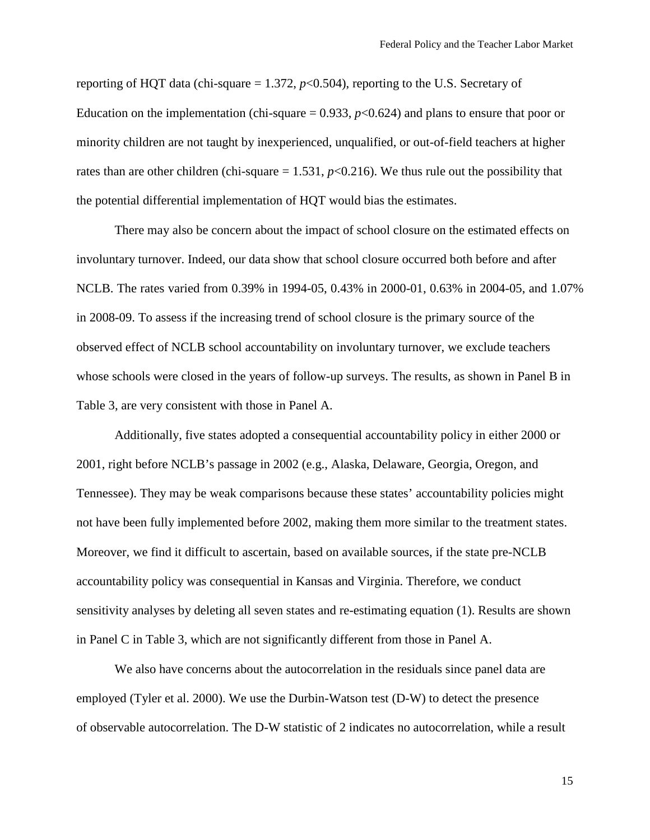reporting of HQT data (chi-square  $= 1.372$ ,  $p < 0.504$ ), reporting to the U.S. Secretary of Education on the implementation (chi-square  $= 0.933$ ,  $p < 0.624$ ) and plans to ensure that poor or minority children are not taught by inexperienced, unqualified, or out-of-field teachers at higher rates than are other children (chi-square  $= 1.531$ ,  $p < 0.216$ ). We thus rule out the possibility that the potential differential implementation of HQT would bias the estimates.

There may also be concern about the impact of school closure on the estimated effects on involuntary turnover. Indeed, our data show that school closure occurred both before and after NCLB. The rates varied from 0.39% in 1994-05, 0.43% in 2000-01, 0.63% in 2004-05, and 1.07% in 2008-09. To assess if the increasing trend of school closure is the primary source of the observed effect of NCLB school accountability on involuntary turnover, we exclude teachers whose schools were closed in the years of follow-up surveys. The results, as shown in Panel B in Table 3, are very consistent with those in Panel A.

Additionally, five states adopted a consequential accountability policy in either 2000 or 2001, right before NCLB's passage in 2002 (e.g., Alaska, Delaware, Georgia, Oregon, and Tennessee). They may be weak comparisons because these states' accountability policies might not have been fully implemented before 2002, making them more similar to the treatment states. Moreover, we find it difficult to ascertain, based on available sources, if the state pre-NCLB accountability policy was consequential in Kansas and Virginia. Therefore, we conduct sensitivity analyses by deleting all seven states and re-estimating equation (1). Results are shown in Panel C in Table 3, which are not significantly different from those in Panel A.

We also have concerns about the autocorrelation in the residuals since panel data are employed (Tyler et al. 2000). We use the Durbin-Watson test (D-W) to detect the presence of observable [autocorrelation.](http://en.wikipedia.org/wiki/Autocorrelation) The D-W statistic of 2 indicates no autocorrelation, while a result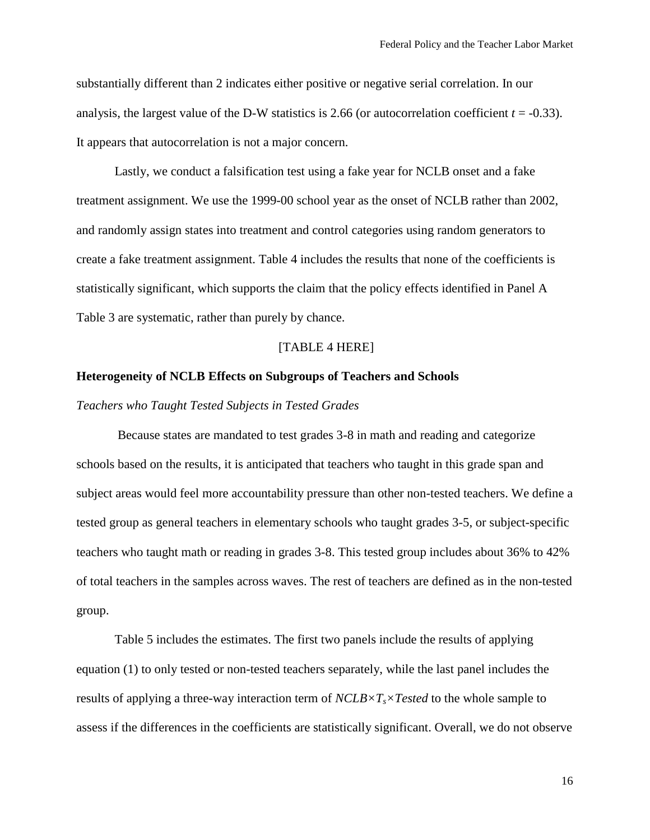substantially different than 2 indicates either positive or negative serial correlation. In our analysis, the largest value of the D-W statistics is 2.66 (or autocorrelation coefficient  $t = -0.33$ ). It appears that autocorrelation is not a major concern.

Lastly, we conduct a falsification test using a fake year for NCLB onset and a fake treatment assignment. We use the 1999-00 school year as the onset of NCLB rather than 2002, and randomly assign states into treatment and control categories using random generators to create a fake treatment assignment. Table 4 includes the results that none of the coefficients is statistically significant, which supports the claim that the policy effects identified in Panel A Table 3 are systematic, rather than purely by chance.

## [TABLE 4 HERE]

#### **Heterogeneity of NCLB Effects on Subgroups of Teachers and Schools**

*Teachers who Taught Tested Subjects in Tested Grades*

Because states are mandated to test grades 3-8 in math and reading and categorize schools based on the results, it is anticipated that teachers who taught in this grade span and subject areas would feel more accountability pressure than other non-tested teachers. We define a tested group as general teachers in elementary schools who taught grades 3-5, or subject-specific teachers who taught math or reading in grades 3-8. This tested group includes about 36% to 42% of total teachers in the samples across waves. The rest of teachers are defined as in the non-tested group.

Table 5 includes the estimates. The first two panels include the results of applying equation (1) to only tested or non-tested teachers separately, while the last panel includes the results of applying a three-way interaction term of  $NCLB \times T_s \times Tested$  to the whole sample to assess if the differences in the coefficients are statistically significant. Overall, we do not observe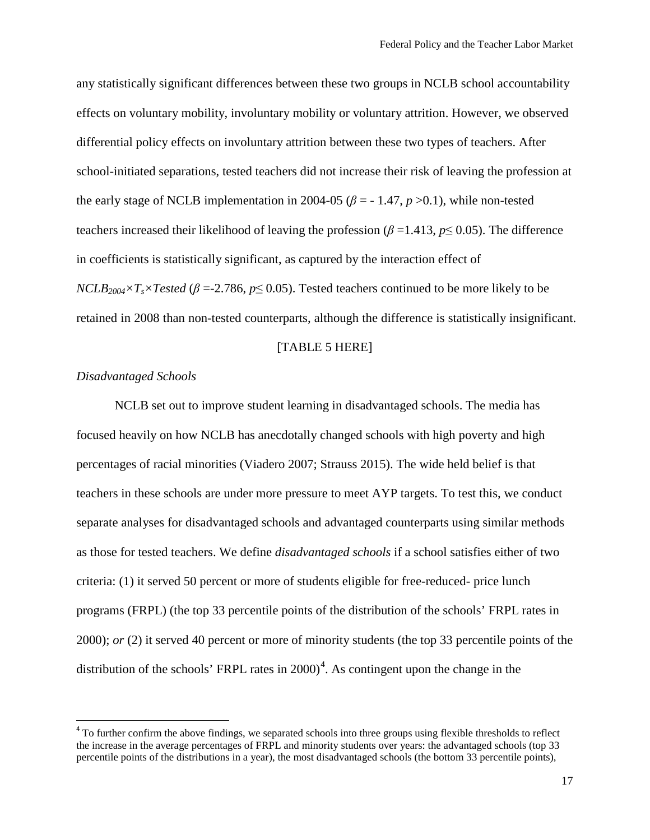any statistically significant differences between these two groups in NCLB school accountability effects on voluntary mobility, involuntary mobility or voluntary attrition. However, we observed differential policy effects on involuntary attrition between these two types of teachers. After school-initiated separations, tested teachers did not increase their risk of leaving the profession at the early stage of NCLB implementation in 2004-05 ( $\beta$  = -1.47,  $p > 0.1$ ), while non-tested teachers increased their likelihood of leaving the profession ( $\beta$  =1.413,  $p \le 0.05$ ). The difference in coefficients is statistically significant, as captured by the interaction effect of *NCLB*<sub>2004</sub>× $T_s$ ×*Tested* ( $\beta$  =-2.786,  $p \le 0.05$ ). Tested teachers continued to be more likely to be retained in 2008 than non-tested counterparts, although the difference is statistically insignificant.

#### [TABLE 5 HERE]

## *Disadvantaged Schools*

l

NCLB set out to improve student learning in disadvantaged schools. The media has focused heavily on how NCLB has anecdotally changed schools with high poverty and high percentages of racial minorities (Viadero 2007; Strauss 2015). The wide held belief is that teachers in these schools are under more pressure to meet AYP targets. To test this, we conduct separate analyses for disadvantaged schools and advantaged counterparts using similar methods as those for tested teachers. We define *disadvantaged schools* if a school satisfies either of two criteria: (1) it served 50 percent or more of students eligible for free-reduced- price lunch programs (FRPL) (the top 33 percentile points of the distribution of the schools' FRPL rates in 2000); *or* (2) it served 40 percent or more of minority students (the top 33 percentile points of the distribution of the schools' FRPL rates in  $2000<sup>4</sup>$  $2000<sup>4</sup>$  $2000<sup>4</sup>$ . As contingent upon the change in the

<span id="page-18-0"></span><sup>&</sup>lt;sup>4</sup> To further confirm the above findings, we separated schools into three groups using flexible thresholds to reflect the increase in the average percentages of FRPL and minority students over years: the advantaged schools (top 33 percentile points of the distributions in a year), the most disadvantaged schools (the bottom 33 percentile points),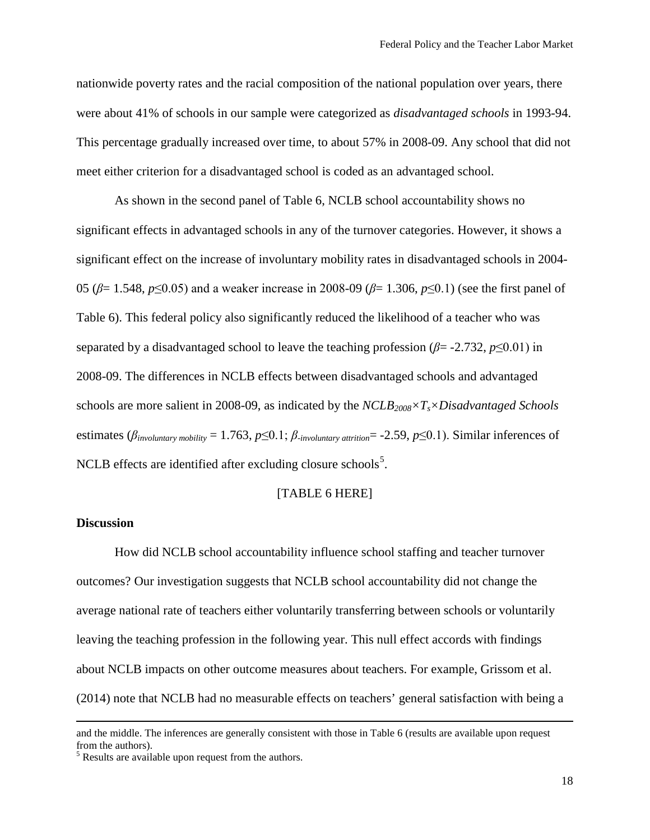nationwide poverty rates and the racial composition of the national population over years, there were about 41% of schools in our sample were categorized as *disadvantaged schools* in 1993-94. This percentage gradually increased over time, to about 57% in 2008-09. Any school that did not meet either criterion for a disadvantaged school is coded as an advantaged school.

As shown in the second panel of Table 6, NCLB school accountability shows no significant effects in advantaged schools in any of the turnover categories. However, it shows a significant effect on the increase of involuntary mobility rates in disadvantaged schools in 2004- 05 (*β*= 1.548, *p*≤0.05) and a weaker increase in 2008-09 (*β*= 1.306, *p*≤0.1) (see the first panel of Table 6). This federal policy also significantly reduced the likelihood of a teacher who was separated by a disadvantaged school to leave the teaching profession ( $\beta$ = -2.732,  $p \le 0.01$ ) in 2008-09. The differences in NCLB effects between disadvantaged schools and advantaged schools are more salient in 2008-09, as indicated by the *NCLB2008×Ts×Disadvantaged Schools*  estimates ( $\beta_{\text{involuntary mobility}} = 1.763$ ,  $p \le 0.1$ ;  $\beta_{\text{involuntary attribute}} = -2.59$ ,  $p \le 0.1$ ). Similar inferences of NCLB effects are identified after excluding closure schools<sup>[5](#page-19-0)</sup>.

## [TABLE 6 HERE]

## **Discussion**

 $\overline{\phantom{a}}$ 

How did NCLB school accountability influence school staffing and teacher turnover outcomes? Our investigation suggests that NCLB school accountability did not change the average national rate of teachers either voluntarily transferring between schools or voluntarily leaving the teaching profession in the following year. This null effect accords with findings about NCLB impacts on other outcome measures about teachers. For example, Grissom et al. (2014) note that NCLB had no measurable effects on teachers' general satisfaction with being a

and the middle. The inferences are generally consistent with those in Table 6 (results are available upon request from the authors).<br> $<sup>5</sup>$  Results are available upon request from the authors.</sup>

<span id="page-19-0"></span>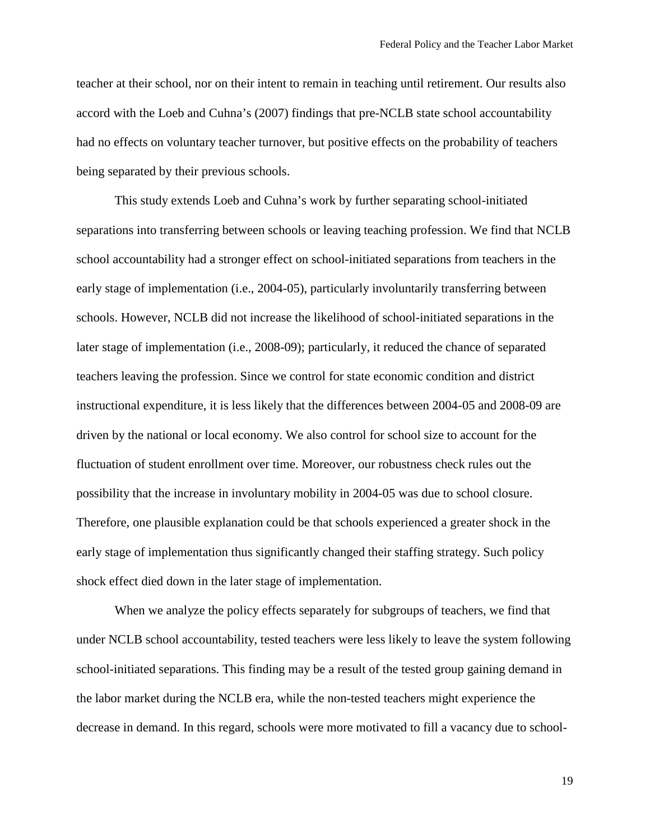teacher at their school, nor on their intent to remain in teaching until retirement. Our results also accord with the Loeb and Cuhna's (2007) findings that pre-NCLB state school accountability had no effects on voluntary teacher turnover, but positive effects on the probability of teachers being separated by their previous schools.

This study extends Loeb and Cuhna's work by further separating school-initiated separations into transferring between schools or leaving teaching profession. We find that NCLB school accountability had a stronger effect on school-initiated separations from teachers in the early stage of implementation (i.e., 2004-05), particularly involuntarily transferring between schools. However, NCLB did not increase the likelihood of school-initiated separations in the later stage of implementation (i.e., 2008-09); particularly, it reduced the chance of separated teachers leaving the profession. Since we control for state economic condition and district instructional expenditure, it is less likely that the differences between 2004-05 and 2008-09 are driven by the national or local economy. We also control for school size to account for the fluctuation of student enrollment over time. Moreover, our robustness check rules out the possibility that the increase in involuntary mobility in 2004-05 was due to school closure. Therefore, one plausible explanation could be that schools experienced a greater shock in the early stage of implementation thus significantly changed their staffing strategy. Such policy shock effect died down in the later stage of implementation.

When we analyze the policy effects separately for subgroups of teachers, we find that under NCLB school accountability, tested teachers were less likely to leave the system following school-initiated separations. This finding may be a result of the tested group gaining demand in the labor market during the NCLB era, while the non-tested teachers might experience the decrease in demand. In this regard, schools were more motivated to fill a vacancy due to school-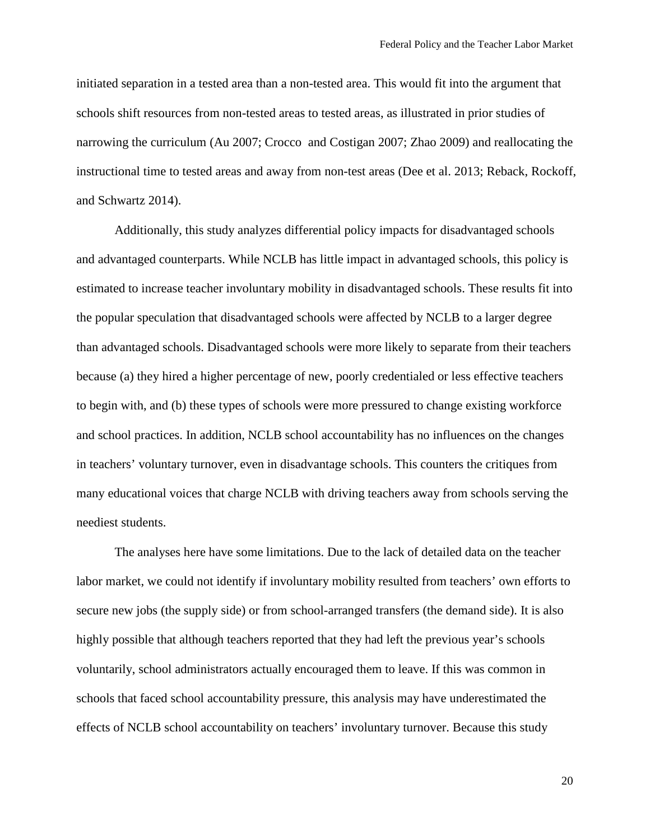initiated separation in a tested area than a non-tested area. This would fit into the argument that schools shift resources from non-tested areas to tested areas, as illustrated in prior studies of narrowing the curriculum (Au 2007; Crocco and Costigan 2007; Zhao 2009) and reallocating the instructional time to tested areas and away from non-test areas (Dee et al. 2013; Reback, Rockoff, and Schwartz 2014).

Additionally, this study analyzes differential policy impacts for disadvantaged schools and advantaged counterparts. While NCLB has little impact in advantaged schools, this policy is estimated to increase teacher involuntary mobility in disadvantaged schools. These results fit into the popular speculation that disadvantaged schools were affected by NCLB to a larger degree than advantaged schools. Disadvantaged schools were more likely to separate from their teachers because (a) they hired a higher percentage of new, poorly credentialed or less effective teachers to begin with, and (b) these types of schools were more pressured to change existing workforce and school practices. In addition, NCLB school accountability has no influences on the changes in teachers' voluntary turnover, even in disadvantage schools. This counters the critiques from many educational voices that charge NCLB with driving teachers away from schools serving the neediest students.

The analyses here have some limitations. Due to the lack of detailed data on the teacher labor market, we could not identify if involuntary mobility resulted from teachers' own efforts to secure new jobs (the supply side) or from school-arranged transfers (the demand side). It is also highly possible that although teachers reported that they had left the previous year's schools voluntarily, school administrators actually encouraged them to leave. If this was common in schools that faced school accountability pressure, this analysis may have underestimated the effects of NCLB school accountability on teachers' involuntary turnover. Because this study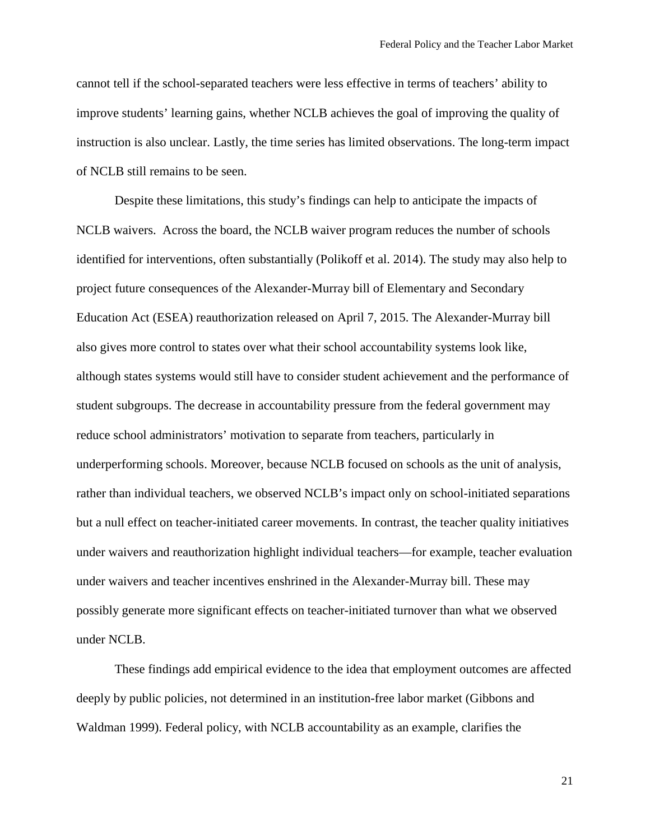cannot tell if the school-separated teachers were less effective in terms of teachers' ability to improve students' learning gains, whether NCLB achieves the goal of improving the quality of instruction is also unclear. Lastly, the time series has limited observations. The long-term impact of NCLB still remains to be seen.

Despite these limitations, this study's findings can help to anticipate the impacts of NCLB waivers. Across the board, the NCLB waiver program reduces the number of schools identified for interventions, often substantially (Polikoff et al. 2014). The study may also help to project future consequences of the Alexander-Murray bill of Elementary and Secondary Education Act (ESEA) reauthorization released on April 7, 2015. The Alexander-Murray bill also gives more control to states over what their school accountability systems look like, although states systems would still have to consider student achievement and the performance of student subgroups. The decrease in accountability pressure from the federal government may reduce school administrators' motivation to separate from teachers, particularly in underperforming schools. Moreover, because NCLB focused on schools as the unit of analysis, rather than individual teachers, we observed NCLB's impact only on school-initiated separations but a null effect on teacher-initiated career movements. In contrast, the teacher quality initiatives under waivers and reauthorization highlight individual teachers—for example, teacher evaluation under waivers and teacher incentives enshrined in the Alexander-Murray bill. These may possibly generate more significant effects on teacher-initiated turnover than what we observed under NCLB.

These findings add empirical evidence to the idea that employment outcomes are affected deeply by public policies, not determined in an institution-free labor market (Gibbons and Waldman 1999). Federal policy, with NCLB accountability as an example, clarifies the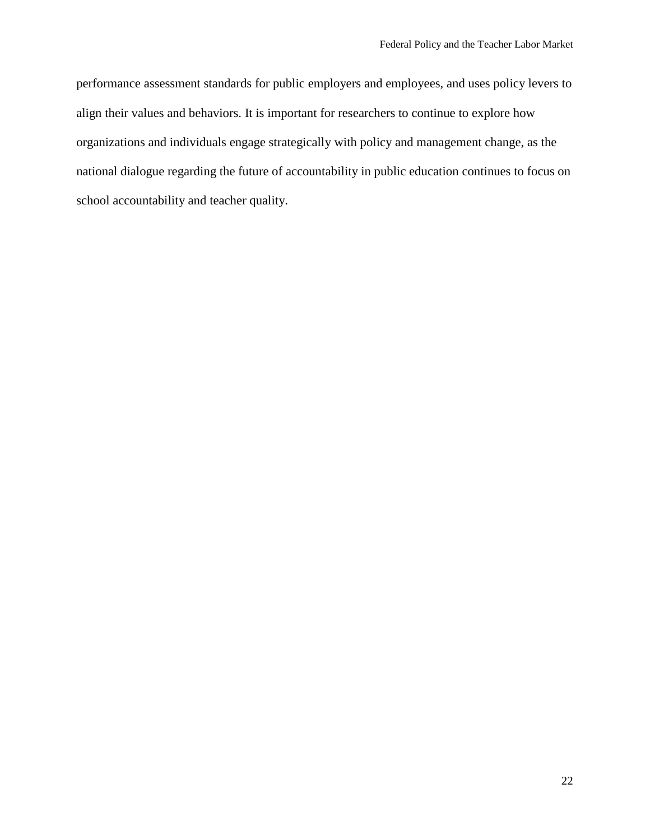performance assessment standards for public employers and employees, and uses policy levers to align their values and behaviors. It is important for researchers to continue to explore how organizations and individuals engage strategically with policy and management change, as the national dialogue regarding the future of accountability in public education continues to focus on school accountability and teacher quality.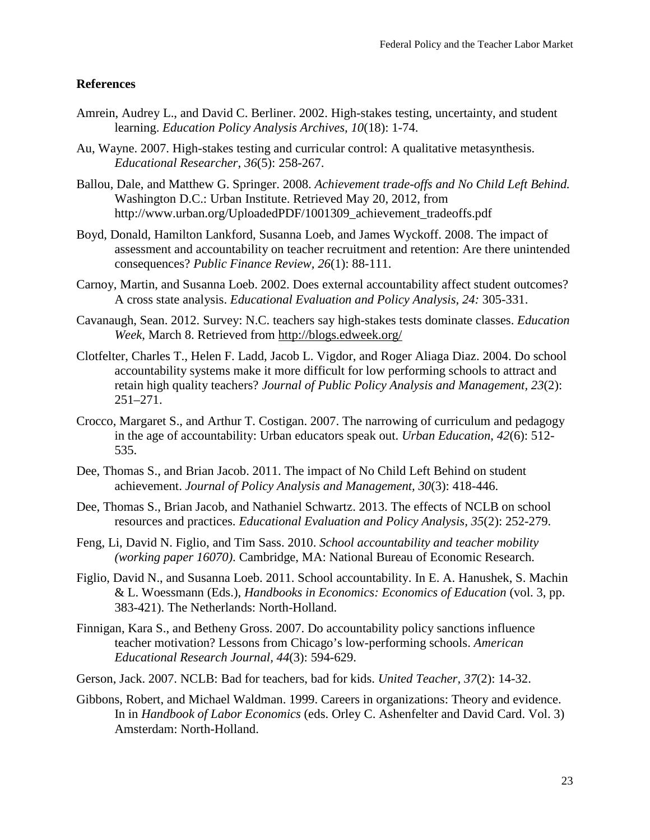## **References**

- Amrein, Audrey L., and David C. Berliner. 2002. High-stakes testing, uncertainty, and student learning. *Education Policy Analysis Archives, 10*(18): 1-74.
- Au, Wayne. 2007. High-stakes testing and curricular control: A qualitative metasynthesis. *Educational Researcher*, *36*(5): 258-267.
- Ballou, Dale, and Matthew G. Springer. 2008. *Achievement trade-offs and No Child Left Behind.* Washington D.C.: Urban Institute. Retrieved May 20, 2012, from http://www.urban.org/UploadedPDF/1001309\_achievement\_tradeoffs.pdf
- Boyd, Donald, Hamilton Lankford, Susanna Loeb, and James Wyckoff. 2008. The impact of assessment and accountability on teacher recruitment and retention: Are there unintended consequences? *Public Finance Review, 26*(1): 88-111.
- Carnoy, Martin, and Susanna Loeb. 2002. Does external accountability affect student outcomes? A cross state analysis. *Educational Evaluation and Policy Analysis, 24:* 305-331.
- Cavanaugh, Sean. 2012. Survey: N.C. teachers say high-stakes tests dominate classes. *Education Week*, March 8. Retrieved from<http://blogs.edweek.org/>
- Clotfelter, Charles T., Helen F. Ladd, Jacob L. Vigdor, and Roger Aliaga Diaz. 2004. Do school accountability systems make it more difficult for low performing schools to attract and retain high quality teachers? *Journal of Public Policy Analysis and Management, 23*(2): 251–271.
- Crocco, Margaret S., and Arthur T. Costigan. 2007. The narrowing of curriculum and pedagogy in the age of accountability: Urban educators speak out. *Urban Education*, *42*(6): 512- 535.
- Dee, Thomas S., and Brian Jacob. 2011. The impact of No Child Left Behind on student achievement. *Journal of Policy Analysis and Management, 30*(3): 418-446.
- Dee, Thomas S., Brian Jacob, and Nathaniel Schwartz. 2013. The effects of NCLB on school resources and practices. *Educational Evaluation and Policy Analysis, 35*(2): 252-279.
- Feng, Li, David N. Figlio, and Tim Sass. 2010. *School accountability and teacher mobility (working paper 16070)*. Cambridge, MA: National Bureau of Economic Research.
- Figlio, David N., and Susanna Loeb. 2011. School accountability. In E. A. Hanushek, S. Machin & L. Woessmann (Eds.), *Handbooks in Economics: Economics of Education* (vol. 3, pp. 383-421). The Netherlands: North-Holland.
- Finnigan, Kara S., and Betheny Gross. 2007. Do accountability policy sanctions influence teacher motivation? Lessons from Chicago's low-performing schools. *American Educational Research Journal, 44*(3): 594-629.
- Gerson, Jack. 2007. NCLB: Bad for teachers, bad for kids. *United Teacher, 37*(2): 14-32.
- Gibbons, Robert, and Michael Waldman. 1999. Careers in organizations: Theory and evidence. In in *Handbook of Labor Economics* (eds. Orley C. Ashenfelter and David Card. Vol. 3) Amsterdam: North-Holland.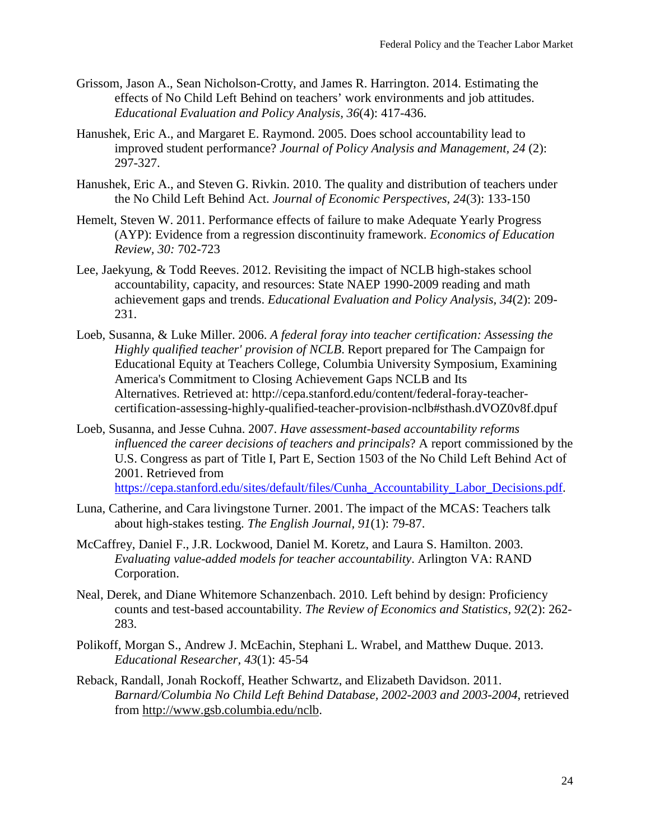- Grissom, Jason A., Sean Nicholson-Crotty, and James R. Harrington. 2014. Estimating the effects of No Child Left Behind on teachers' work environments and job attitudes. *Educational Evaluation and Policy Analysis, 36*(4): 417-436.
- Hanushek, Eric A., and Margaret E. Raymond. 2005. Does school accountability lead to improved student performance? *Journal of Policy Analysis and Management, 24* (2): 297-327.
- Hanushek, Eric A., and Steven G. Rivkin. 2010. The quality and distribution of teachers under the No Child Left Behind Act. *Journal of Economic Perspectives, 24*(3): 133-150
- Hemelt, Steven W. 2011. Performance effects of failure to make Adequate Yearly Progress (AYP): Evidence from a regression discontinuity framework. *Economics of Education Review, 30:* 702-723
- Lee, Jaekyung, & Todd Reeves. 2012. Revisiting the impact of NCLB high-stakes school accountability, capacity, and resources: State NAEP 1990-2009 reading and math achievement gaps and trends. *Educational Evaluation and Policy Analysis, 34*(2): 209- 231.
- Loeb, Susanna, & Luke Miller. 2006. *A federal foray into teacher certification: Assessing the Highly qualified teacher' provision of NCLB*. Report prepared for The Campaign for Educational Equity at Teachers College, Columbia University Symposium, Examining America's Commitment to Closing Achievement Gaps NCLB and Its Alternatives. Retrieved at: http://cepa.stanford.edu/content/federal-foray-teachercertification-assessing-highly-qualified-teacher-provision-nclb#sthash.dVOZ0v8f.dpuf
- Loeb, Susanna, and Jesse Cuhna. 2007. *Have assessment-based accountability reforms influenced the career decisions of teachers and principals*? A report commissioned by the U.S. Congress as part of Title I, Part E, Section 1503 of the No Child Left Behind Act of 2001. Retrieved from [https://cepa.stanford.edu/sites/default/files/Cunha\\_Accountability\\_Labor\\_Decisions.pdf.](https://cepa.stanford.edu/sites/default/files/Cunha_Accountability_Labor_Decisions.pdf)
- Luna, Catherine, and Cara livingstone Turner. 2001. The impact of the MCAS: Teachers talk about high-stakes testing. *The English Journal, 91*(1): 79-87.
- McCaffrey, Daniel F., J.R. Lockwood, Daniel M. Koretz, and Laura S. Hamilton. 2003. *Evaluating value-added models for teacher accountability*. Arlington VA: RAND Corporation.
- Neal, Derek, and Diane Whitemore Schanzenbach. 2010. Left behind by design: Proficiency counts and test-based accountability. *The Review of Economics and Statistics, 92*(2): 262- 283.
- Polikoff, Morgan S., Andrew J. McEachin, Stephani L. Wrabel, and Matthew Duque. 2013. *Educational Researcher, 43*(1): 45-54
- Reback, Randall, Jonah Rockoff, Heather Schwartz, and Elizabeth Davidson. 2011. *Barnard/Columbia No Child Left Behind Database, 2002-2003 and 2003-2004*, retrieved from [http://www.gsb.columbia.edu/nclb.](http://www.gsb.columbia.edu/nclb)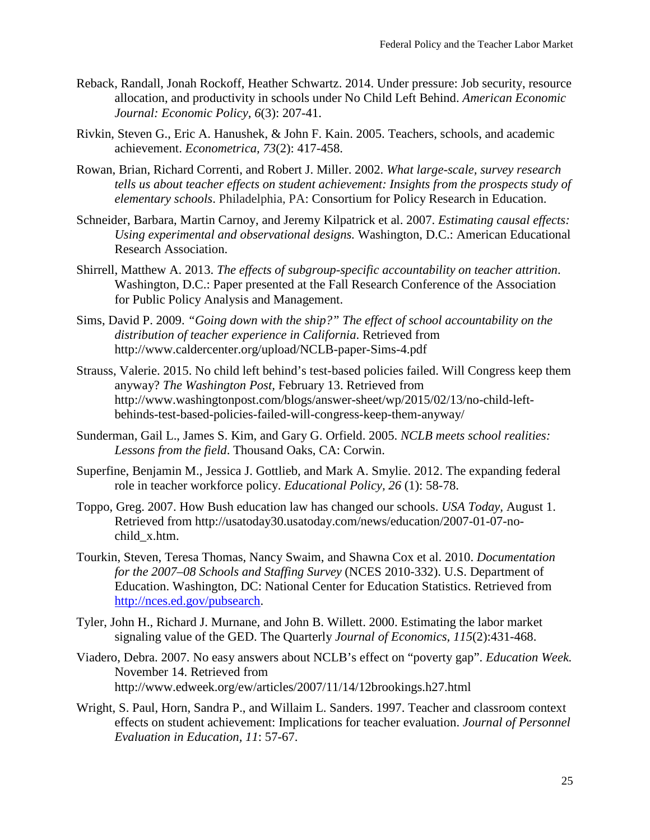- Reback, Randall, Jonah Rockoff, Heather Schwartz. 2014. Under pressure: Job security, resource allocation, and productivity in schools under No Child Left Behind. *American Economic Journal: Economic Policy, 6*(3): 207-41.
- Rivkin, Steven G., Eric A. Hanushek, & John F. Kain. 2005. Teachers, schools, and academic achievement. *Econometrica, 73*(2): 417-458.
- Rowan, Brian, Richard Correnti, and Robert J. Miller. 2002. *What large-scale, survey research tells us about teacher effects on student achievement: Insights from the prospects study of elementary schools*. Philadelphia, PA: Consortium for Policy Research in Education.
- Schneider, Barbara, Martin Carnoy, and Jeremy Kilpatrick et al. 2007. *Estimating causal effects: Using experimental and observational designs.* Washington, D.C.: American Educational Research Association.
- Shirrell, Matthew A. 2013. *The effects of subgroup-specific accountability on teacher attrition*. Washington, D.C.: Paper presented at the Fall Research Conference of the Association for Public Policy Analysis and Management.
- Sims, David P. 2009. *"Going down with the ship?" The effect of school accountability on the distribution of teacher experience in California*. Retrieved from http://www.caldercenter.org/upload/NCLB-paper-Sims-4.pdf
- Strauss, Valerie. 2015. No child left behind's test-based policies failed. Will Congress keep them anyway? *The Washington Post,* February 13. Retrieved from http://www.washingtonpost.com/blogs/answer-sheet/wp/2015/02/13/no-child-leftbehinds-test-based-policies-failed-will-congress-keep-them-anyway/
- Sunderman, Gail L., James S. Kim, and Gary G. Orfield. 2005. *NCLB meets school realities: Lessons from the field*. Thousand Oaks, CA: Corwin.
- Superfine, Benjamin M., Jessica J. Gottlieb, and Mark A. Smylie. 2012. The expanding federal role in teacher workforce policy. *Educational Policy, 26* (1): 58-78.
- Toppo, Greg. 2007. How Bush education law has changed our schools. *USA Today,* August 1. Retrieved from http://usatoday30.usatoday.com/news/education/2007-01-07-nochild\_x.htm.
- Tourkin, Steven, Teresa Thomas, Nancy Swaim, and Shawna Cox et al. 2010. *Documentation for the 2007–08 Schools and Staffing Survey* (NCES 2010-332). U.S. Department of Education. Washington, DC: National Center for Education Statistics. Retrieved from [http://nces.ed.gov/pubsearch.](http://nces.ed.gov/pubsearch)
- Tyler, John H., Richard J. Murnane, and John B. Willett. 2000. Estimating the labor market signaling value of the GED. The Quarterly *Journal of Economics, 115*(2):431-468.
- Viadero, Debra. 2007. No easy answers about NCLB's effect on "poverty gap". *Education Week.* November 14. Retrieved from http://www.edweek.org/ew/articles/2007/11/14/12brookings.h27.html
- Wright, S. Paul, Horn, Sandra P., and Willaim L. Sanders. 1997. Teacher and classroom context effects on student achievement: Implications for teacher evaluation. *Journal of Personnel Evaluation in Education, 11*: 57-67.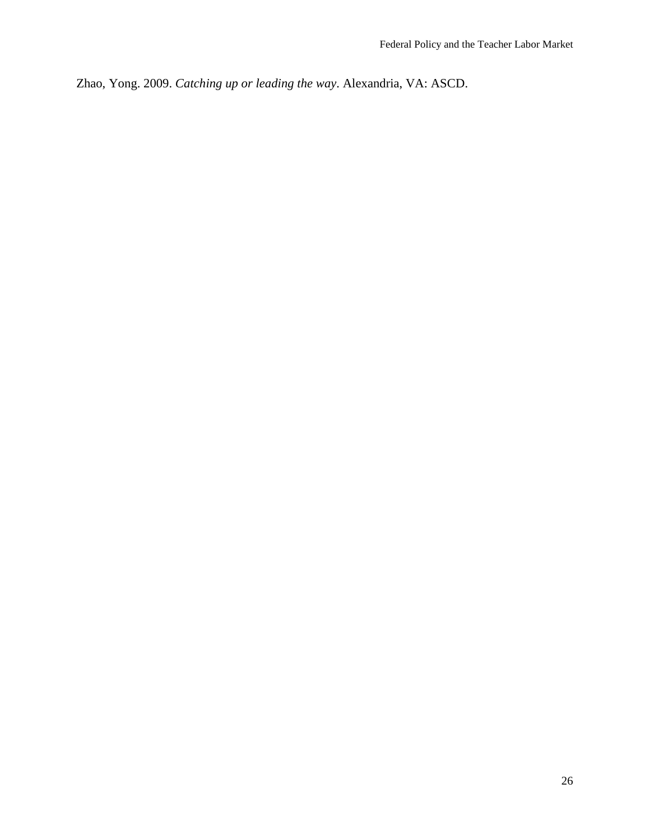Zhao, Yong. 2009. *Catching up or leading the way*. Alexandria, VA: ASCD.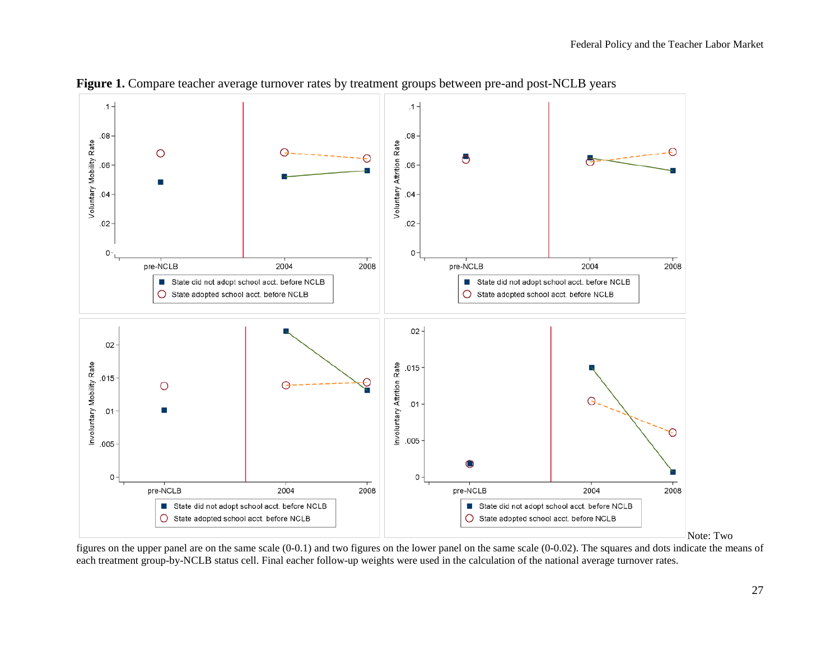

Figure 1. Compare teacher average turnover rates by treatment groups between pre-and post-NCLB years

figures on the upper panel are on the same scale (0-0.1) and two figures on the lower panel on the same scale (0-0.02). The squares and dots indicate the means of each treatment group-by-NCLB status cell. Final eacher follow-up weights were used in the calculation of the national average turnover rates.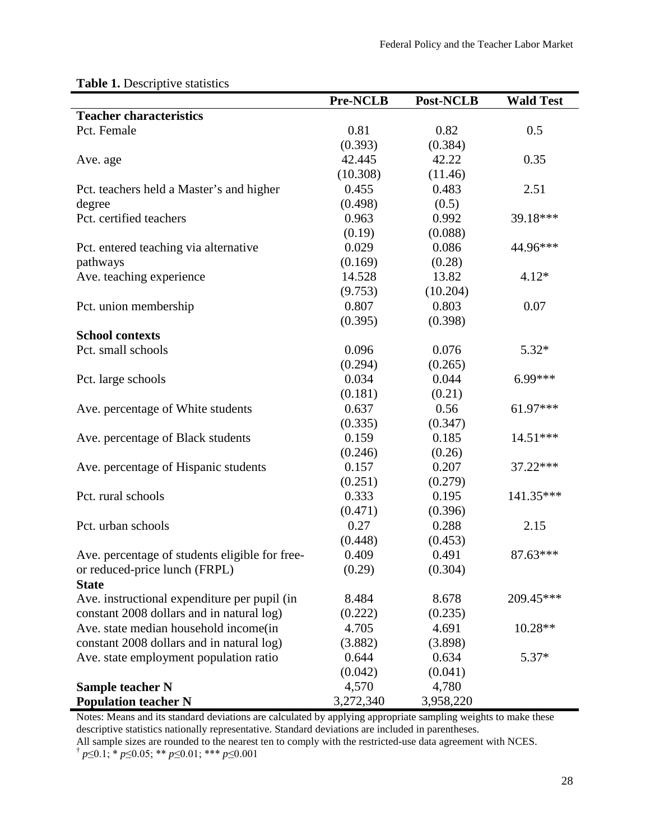| <b>Teacher characteristics</b><br>Pct. Female<br>0.81<br>0.82<br>0.5<br>(0.393)<br>(0.384)<br>0.35<br>42.445<br>42.22<br>Ave. age<br>(10.308)<br>(11.46)<br>0.455<br>0.483<br>2.51<br>Pct. teachers held a Master's and higher<br>(0.498)<br>(0.5)<br>degree<br>Pct. certified teachers<br>0.963<br>0.992<br>39.18***<br>(0.19)<br>(0.088)<br>0.029<br>0.086<br>44.96***<br>Pct. entered teaching via alternative<br>(0.169)<br>(0.28)<br>pathways<br>Ave. teaching experience<br>14.528<br>13.82<br>$4.12*$<br>(9.753)<br>(10.204)<br>0.807<br>0.803<br>0.07<br>Pct. union membership<br>(0.395)<br>(0.398) | <b>Pre-NCLB</b> | <b>Post-NCLB</b> | <b>Wald Test</b> |
|--------------------------------------------------------------------------------------------------------------------------------------------------------------------------------------------------------------------------------------------------------------------------------------------------------------------------------------------------------------------------------------------------------------------------------------------------------------------------------------------------------------------------------------------------------------------------------------------------------------|-----------------|------------------|------------------|
|                                                                                                                                                                                                                                                                                                                                                                                                                                                                                                                                                                                                              |                 |                  |                  |
|                                                                                                                                                                                                                                                                                                                                                                                                                                                                                                                                                                                                              |                 |                  |                  |
|                                                                                                                                                                                                                                                                                                                                                                                                                                                                                                                                                                                                              |                 |                  |                  |
|                                                                                                                                                                                                                                                                                                                                                                                                                                                                                                                                                                                                              |                 |                  |                  |
|                                                                                                                                                                                                                                                                                                                                                                                                                                                                                                                                                                                                              |                 |                  |                  |
|                                                                                                                                                                                                                                                                                                                                                                                                                                                                                                                                                                                                              |                 |                  |                  |
|                                                                                                                                                                                                                                                                                                                                                                                                                                                                                                                                                                                                              |                 |                  |                  |
|                                                                                                                                                                                                                                                                                                                                                                                                                                                                                                                                                                                                              |                 |                  |                  |
|                                                                                                                                                                                                                                                                                                                                                                                                                                                                                                                                                                                                              |                 |                  |                  |
|                                                                                                                                                                                                                                                                                                                                                                                                                                                                                                                                                                                                              |                 |                  |                  |
|                                                                                                                                                                                                                                                                                                                                                                                                                                                                                                                                                                                                              |                 |                  |                  |
|                                                                                                                                                                                                                                                                                                                                                                                                                                                                                                                                                                                                              |                 |                  |                  |
|                                                                                                                                                                                                                                                                                                                                                                                                                                                                                                                                                                                                              |                 |                  |                  |
|                                                                                                                                                                                                                                                                                                                                                                                                                                                                                                                                                                                                              |                 |                  |                  |
|                                                                                                                                                                                                                                                                                                                                                                                                                                                                                                                                                                                                              |                 |                  |                  |
| <b>School contexts</b>                                                                                                                                                                                                                                                                                                                                                                                                                                                                                                                                                                                       |                 |                  |                  |
| 0.096<br>Pct. small schools<br>0.076<br>$5.32*$                                                                                                                                                                                                                                                                                                                                                                                                                                                                                                                                                              |                 |                  |                  |
| (0.294)<br>(0.265)                                                                                                                                                                                                                                                                                                                                                                                                                                                                                                                                                                                           |                 |                  |                  |
| 0.034<br>0.044<br>6.99***<br>Pct. large schools                                                                                                                                                                                                                                                                                                                                                                                                                                                                                                                                                              |                 |                  |                  |
| (0.181)<br>(0.21)                                                                                                                                                                                                                                                                                                                                                                                                                                                                                                                                                                                            |                 |                  |                  |
| 61.97***<br>Ave. percentage of White students<br>0.637<br>0.56                                                                                                                                                                                                                                                                                                                                                                                                                                                                                                                                               |                 |                  |                  |
| (0.335)<br>(0.347)                                                                                                                                                                                                                                                                                                                                                                                                                                                                                                                                                                                           |                 |                  |                  |
| 0.159<br>0.185<br>14.51***<br>Ave. percentage of Black students                                                                                                                                                                                                                                                                                                                                                                                                                                                                                                                                              |                 |                  |                  |
| (0.246)<br>(0.26)                                                                                                                                                                                                                                                                                                                                                                                                                                                                                                                                                                                            |                 |                  |                  |
| 0.157<br>0.207<br>Ave. percentage of Hispanic students<br>37.22***                                                                                                                                                                                                                                                                                                                                                                                                                                                                                                                                           |                 |                  |                  |
| (0.251)<br>(0.279)                                                                                                                                                                                                                                                                                                                                                                                                                                                                                                                                                                                           |                 |                  |                  |
| 0.333<br>Pct. rural schools<br>0.195<br>141.35***                                                                                                                                                                                                                                                                                                                                                                                                                                                                                                                                                            |                 |                  |                  |
| (0.471)<br>(0.396)                                                                                                                                                                                                                                                                                                                                                                                                                                                                                                                                                                                           |                 |                  |                  |
| 0.27<br>0.288<br>Pct. urban schools<br>2.15                                                                                                                                                                                                                                                                                                                                                                                                                                                                                                                                                                  |                 |                  |                  |
| (0.448)<br>(0.453)                                                                                                                                                                                                                                                                                                                                                                                                                                                                                                                                                                                           |                 |                  |                  |
| Ave. percentage of students eligible for free-<br>0.409<br>0.491<br>$87.63***$                                                                                                                                                                                                                                                                                                                                                                                                                                                                                                                               |                 |                  |                  |
| or reduced-price lunch (FRPL)<br>(0.29)<br>(0.304)                                                                                                                                                                                                                                                                                                                                                                                                                                                                                                                                                           |                 |                  |                  |
| <b>State</b>                                                                                                                                                                                                                                                                                                                                                                                                                                                                                                                                                                                                 |                 |                  |                  |
| 209.45***<br>8.484<br>Ave. instructional expenditure per pupil (in<br>8.678                                                                                                                                                                                                                                                                                                                                                                                                                                                                                                                                  |                 |                  |                  |
| constant 2008 dollars and in natural log)<br>(0.222)<br>(0.235)                                                                                                                                                                                                                                                                                                                                                                                                                                                                                                                                              |                 |                  |                  |
| 4.705<br>4.691<br>$10.28**$<br>Ave. state median household income (in                                                                                                                                                                                                                                                                                                                                                                                                                                                                                                                                        |                 |                  |                  |
| constant 2008 dollars and in natural log)<br>(3.882)<br>(3.898)                                                                                                                                                                                                                                                                                                                                                                                                                                                                                                                                              |                 |                  |                  |
| Ave. state employment population ratio<br>0.644<br>0.634<br>$5.37*$                                                                                                                                                                                                                                                                                                                                                                                                                                                                                                                                          |                 |                  |                  |
| (0.042)<br>(0.041)                                                                                                                                                                                                                                                                                                                                                                                                                                                                                                                                                                                           |                 |                  |                  |
| 4,570<br>4,780<br><b>Sample teacher N</b>                                                                                                                                                                                                                                                                                                                                                                                                                                                                                                                                                                    |                 |                  |                  |
| <b>Population teacher N</b><br>3,272,340<br>3,958,220                                                                                                                                                                                                                                                                                                                                                                                                                                                                                                                                                        |                 |                  |                  |

# **Table 1.** Descriptive statistics

Notes: Means and its standard deviations are calculated by applying appropriate sampling weights to make these descriptive statistics nationally representative. Standard deviations are included in parentheses.

All sample sizes are rounded to the nearest ten to comply with the restricted-use data agreement with NCES.

† *p*≤0.1; \* *p*≤0.05; \*\* *p*≤0.01; \*\*\* *p*≤0.001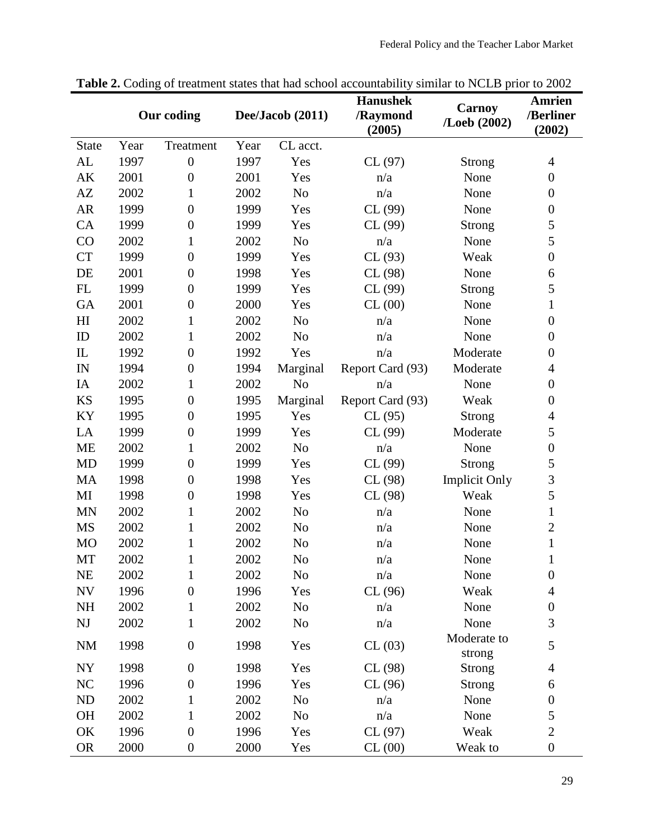|                        |      | Our coding       |      | Dee/Jacob (2011) | <b>Hanushek</b><br>/Raymond<br>(2005) | <b>Carnoy</b><br>/Loeb (2002) | <b>Amrien</b><br>/Berliner<br>(2002) |
|------------------------|------|------------------|------|------------------|---------------------------------------|-------------------------------|--------------------------------------|
| <b>State</b>           | Year | Treatment        | Year | CL acct.         |                                       |                               |                                      |
| AL                     | 1997 | $\boldsymbol{0}$ | 1997 | Yes              | CL(97)                                | Strong                        | $\overline{4}$                       |
| AK                     | 2001 | $\boldsymbol{0}$ | 2001 | Yes              | n/a                                   | None                          | $\boldsymbol{0}$                     |
| AZ                     | 2002 | $\mathbf{1}$     | 2002 | N <sub>o</sub>   | n/a                                   | None                          | $\boldsymbol{0}$                     |
| <b>AR</b>              | 1999 | $\boldsymbol{0}$ | 1999 | Yes              | CL(99)                                | None                          | $\boldsymbol{0}$                     |
| CA                     | 1999 | $\boldsymbol{0}$ | 1999 | Yes              | CL(99)                                | Strong                        | 5                                    |
| CO                     | 2002 | 1                | 2002 | N <sub>o</sub>   | n/a                                   | None                          | 5                                    |
| <b>CT</b>              | 1999 | $\boldsymbol{0}$ | 1999 | Yes              | CL(93)                                | Weak                          | $\boldsymbol{0}$                     |
| DE                     | 2001 | $\boldsymbol{0}$ | 1998 | Yes              | CL(98)                                | None                          | 6                                    |
| FL                     | 1999 | $\boldsymbol{0}$ | 1999 | Yes              | CL(99)                                | Strong                        | 5                                    |
| <b>GA</b>              | 2001 | $\boldsymbol{0}$ | 2000 | Yes              | CL(00)                                | None                          | $\mathbf{1}$                         |
| H <sub>I</sub>         | 2002 | $\mathbf{1}$     | 2002 | N <sub>o</sub>   | n/a                                   | None                          | $\boldsymbol{0}$                     |
| ID                     | 2002 | $\mathbf{1}$     | 2002 | N <sub>o</sub>   | n/a                                   | None                          | $\boldsymbol{0}$                     |
| $\mathbf{L}$           | 1992 | $\boldsymbol{0}$ | 1992 | Yes              | n/a                                   | Moderate                      | $\boldsymbol{0}$                     |
| IN                     | 1994 | $\boldsymbol{0}$ | 1994 | Marginal         | Report Card (93)                      | Moderate                      | 4                                    |
| IA                     | 2002 | 1                | 2002 | N <sub>o</sub>   | n/a                                   | None                          | $\boldsymbol{0}$                     |
| <b>KS</b>              | 1995 | $\boldsymbol{0}$ | 1995 | Marginal         | Report Card (93)                      | Weak                          | $\boldsymbol{0}$                     |
| KY                     | 1995 | $\boldsymbol{0}$ | 1995 | Yes              | CL(95)                                | <b>Strong</b>                 | $\overline{4}$                       |
| LA                     | 1999 | $\boldsymbol{0}$ | 1999 | Yes              | CL(99)                                | Moderate                      | 5                                    |
| <b>ME</b>              | 2002 | 1                | 2002 | N <sub>o</sub>   | n/a                                   | None                          | $\boldsymbol{0}$                     |
| <b>MD</b>              | 1999 | $\boldsymbol{0}$ | 1999 | Yes              | CL(99)                                | Strong                        | 5                                    |
| <b>MA</b>              | 1998 | $\boldsymbol{0}$ | 1998 | Yes              | CL(98)                                | <b>Implicit Only</b>          | 3                                    |
| MI                     | 1998 | $\boldsymbol{0}$ | 1998 | Yes              | CL(98)                                | Weak                          | 5                                    |
| <b>MN</b>              | 2002 | $\mathbf{1}$     | 2002 | N <sub>o</sub>   | n/a                                   | None                          | $\mathbf{1}$                         |
| <b>MS</b>              | 2002 | $\mathbf{1}$     | 2002 | N <sub>o</sub>   | n/a                                   | None                          | $\overline{c}$                       |
| <b>MO</b>              | 2002 | 1                | 2002 | No               | n/a                                   | None                          | $\mathbf{1}$                         |
| MT                     | 2002 | $\mathbf{1}$     | 2002 | N <sub>o</sub>   | n/a                                   | None                          | $\mathbf{1}$                         |
| <b>NE</b>              | 2002 | 1                | 2002 | No               | n/a                                   | None                          | $\boldsymbol{0}$                     |
| <b>NV</b>              | 1996 | $\boldsymbol{0}$ | 1996 | Yes              | CL(96)                                | Weak                          | $\overline{4}$                       |
| <b>NH</b>              | 2002 | 1                | 2002 | N <sub>o</sub>   | n/a                                   | None                          | $\boldsymbol{0}$                     |
| $\mathbf{N}\mathbf{J}$ | 2002 | $\mathbf{1}$     | 2002 | N <sub>o</sub>   | n/a                                   | None                          | 3                                    |
| <b>NM</b>              | 1998 | $\boldsymbol{0}$ | 1998 | Yes              | CL(03)                                | Moderate to<br>strong         | 5                                    |
| NY                     | 1998 | $\boldsymbol{0}$ | 1998 | Yes              | CL(98)                                | Strong                        | $\overline{4}$                       |
| <b>NC</b>              | 1996 | $\boldsymbol{0}$ | 1996 | Yes              | CL(96)                                | Strong                        | 6                                    |
| ${\rm ND}$             | 2002 | 1                | 2002 | No               | n/a                                   | None                          | $\boldsymbol{0}$                     |
| <b>OH</b>              | 2002 | $\mathbf 1$      | 2002 | N <sub>0</sub>   | n/a                                   | None                          | 5                                    |
| OK                     | 1996 | $\boldsymbol{0}$ | 1996 | Yes              | CL(97)                                | Weak                          | $\overline{2}$                       |
| <b>OR</b>              | 2000 | $\boldsymbol{0}$ | 2000 | Yes              | CL(00)                                | Weak to                       | $\boldsymbol{0}$                     |

Table 2. Coding of treatment states that had school accountability similar to NCLB prior to 2002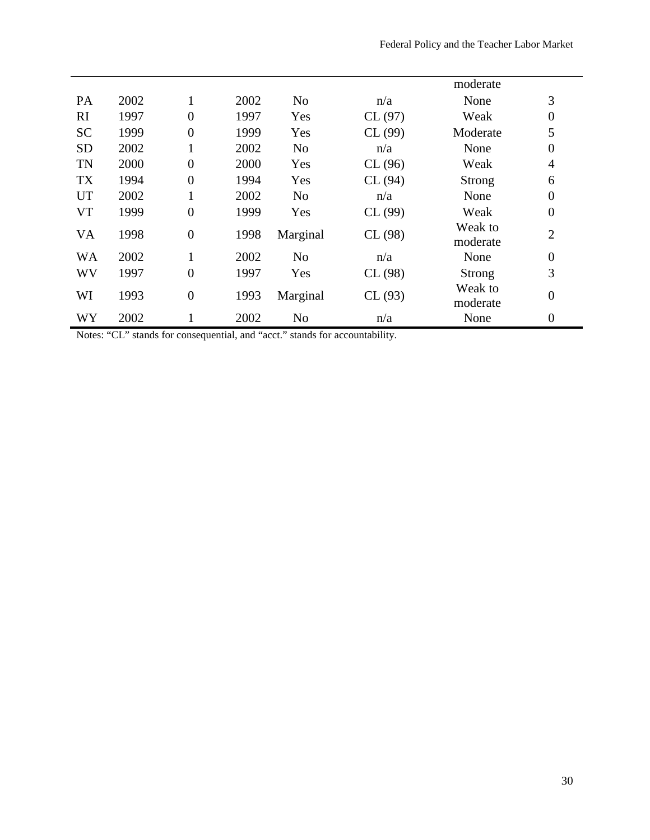|           |      |                  |      |                |        | moderate            |                  |
|-----------|------|------------------|------|----------------|--------|---------------------|------------------|
| PA        | 2002 | 1                | 2002 | N <sub>o</sub> | n/a    | None                | 3                |
| RI        | 1997 | $\overline{0}$   | 1997 | Yes            | CL(97) | Weak                | $\boldsymbol{0}$ |
| <b>SC</b> | 1999 | $\overline{0}$   | 1999 | Yes            | CL(99) | Moderate            | 5                |
| <b>SD</b> | 2002 | 1                | 2002 | N <sub>o</sub> | n/a    | None                | $\boldsymbol{0}$ |
| <b>TN</b> | 2000 | $\overline{0}$   | 2000 | Yes            | CL(96) | Weak                | $\overline{4}$   |
| <b>TX</b> | 1994 | $\overline{0}$   | 1994 | Yes            | CL(94) | Strong              | 6                |
| <b>UT</b> | 2002 | 1                | 2002 | N <sub>o</sub> | n/a    | None                | $\boldsymbol{0}$ |
| <b>VT</b> | 1999 | $\overline{0}$   | 1999 | Yes            | CL(99) | Weak                | $\boldsymbol{0}$ |
| <b>VA</b> | 1998 | $\boldsymbol{0}$ | 1998 | Marginal       | CL(98) | Weak to<br>moderate | $\overline{2}$   |
| <b>WA</b> | 2002 | 1                | 2002 | N <sub>o</sub> | n/a    | None                | $\boldsymbol{0}$ |
| WV        | 1997 | $\overline{0}$   | 1997 | Yes            | CL(98) | Strong              | 3                |
| WI        | 1993 | $\overline{0}$   | 1993 | Marginal       | CL(93) | Weak to<br>moderate | $\boldsymbol{0}$ |
| WY        | 2002 |                  | 2002 | N <sub>o</sub> | n/a    | None                | $\boldsymbol{0}$ |

Notes: "CL" stands for consequential, and "acct." stands for accountability.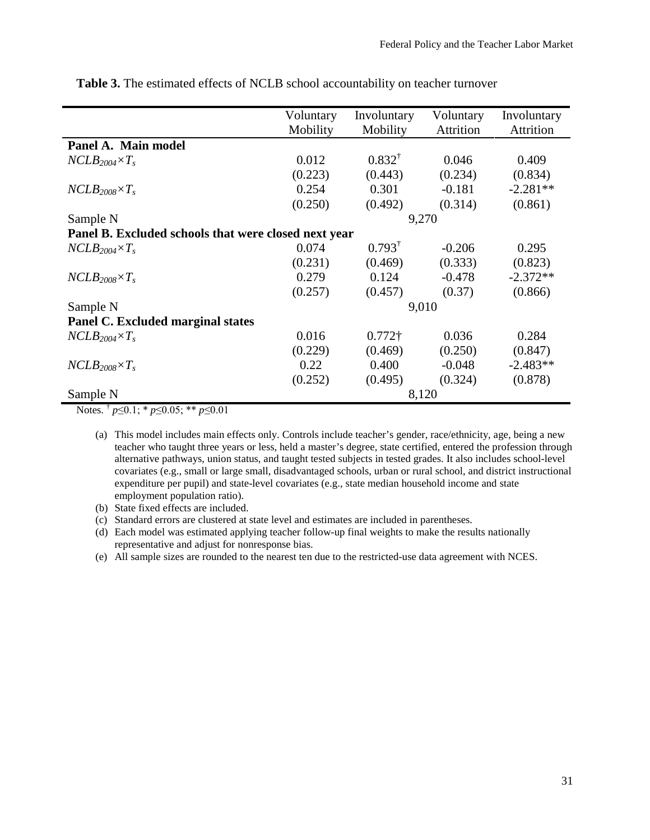|                                                      | Voluntary | Involuntary       | Voluntary | Involuntary      |
|------------------------------------------------------|-----------|-------------------|-----------|------------------|
|                                                      | Mobility  | Mobility          | Attrition | <b>Attrition</b> |
| Panel A. Main model                                  |           |                   |           |                  |
| $NCLB_{2004} \times T_s$                             | 0.012     | $0.832^{\dagger}$ | 0.046     | 0.409            |
|                                                      | (0.223)   | (0.443)           | (0.234)   | (0.834)          |
| $NCLB_{2008} \times T_s$                             | 0.254     | 0.301             | $-0.181$  | $-2.281**$       |
|                                                      | (0.250)   | (0.492)           | (0.314)   | (0.861)          |
| Sample N                                             |           | 9,270             |           |                  |
| Panel B. Excluded schools that were closed next year |           |                   |           |                  |
| $NCLB_{2004} \times T_s$                             | 0.074     | $0.793^{\dagger}$ | $-0.206$  | 0.295            |
|                                                      | (0.231)   | (0.469)           | (0.333)   | (0.823)          |
| $NCLB_{2008} \times T_s$                             | 0.279     | 0.124             | $-0.478$  | $-2.372**$       |
|                                                      | (0.257)   | (0.457)           | (0.37)    | (0.866)          |
| Sample N                                             |           | 9,010             |           |                  |
| Panel C. Excluded marginal states                    |           |                   |           |                  |
| $NCLB_{2004} \times T_s$                             | 0.016     | $0.772\dagger$    | 0.036     | 0.284            |
|                                                      | (0.229)   | (0.469)           | (0.250)   | (0.847)          |
| $NCLB_{2008} \times T_s$                             | 0.22      | 0.400             | $-0.048$  | $-2.483**$       |
|                                                      | (0.252)   | (0.495)           | (0.324)   | (0.878)          |
| Sample N                                             |           |                   | 8,120     |                  |

**Table 3.** The estimated effects of NCLB school accountability on teacher turnover

Notes. † *p*≤0.1; \* *p*≤0.05; \*\* *p*≤0.01

(a) This model includes main effects only. Controls include teacher's gender, race/ethnicity, age, being a new teacher who taught three years or less, held a master's degree, state certified, entered the profession through alternative pathways, union status, and taught tested subjects in tested grades. It also includes school-level covariates (e.g., small or large small, disadvantaged schools, urban or rural school, and district instructional expenditure per pupil) and state-level covariates (e.g., state median household income and state employment population ratio).

- (b) State fixed effects are included.
- (c) Standard errors are clustered at state level and estimates are included in parentheses.
- (d) Each model was estimated applying teacher follow-up final weights to make the results nationally representative and adjust for nonresponse bias.

(e) All sample sizes are rounded to the nearest ten due to the restricted-use data agreement with NCES.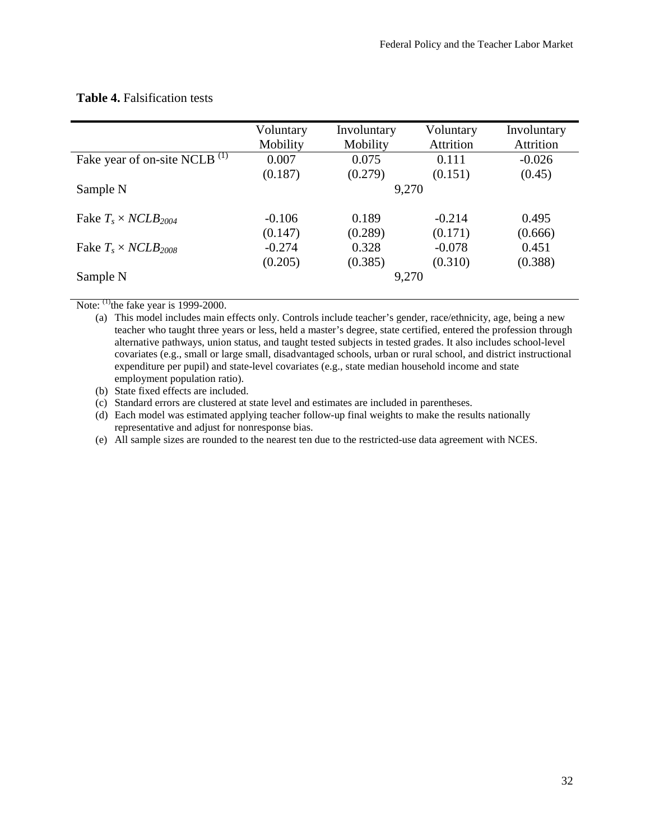|                                          | Voluntary | Involuntary | Voluntary | Involuntary |
|------------------------------------------|-----------|-------------|-----------|-------------|
|                                          | Mobility  | Mobility    | Attrition | Attrition   |
| Fake year of on-site NCLB <sup>(1)</sup> | 0.007     | 0.075       | 0.111     | $-0.026$    |
|                                          | (0.187)   | (0.279)     | (0.151)   | (0.45)      |
| Sample N                                 |           | 9,270       |           |             |
| Fake $T_s \times NCLB_{2004}$            | $-0.106$  | 0.189       | $-0.214$  | 0.495       |
|                                          | (0.147)   | (0.289)     | (0.171)   | (0.666)     |
| Fake $T_s \times NCLB_{2008}$            | $-0.274$  | 0.328       | $-0.078$  | 0.451       |
|                                          | (0.205)   | (0.385)     | (0.310)   | (0.388)     |
| Sample N                                 |           | 9,270       |           |             |

## **Table 4.** Falsification tests

Note:  $^{(1)}$ the fake year is 1999-2000.

(a) This model includes main effects only. Controls include teacher's gender, race/ethnicity, age, being a new teacher who taught three years or less, held a master's degree, state certified, entered the profession through alternative pathways, union status, and taught tested subjects in tested grades. It also includes school-level covariates (e.g., small or large small, disadvantaged schools, urban or rural school, and district instructional expenditure per pupil) and state-level covariates (e.g., state median household income and state employment population ratio).

- (b) State fixed effects are included.
- (c) Standard errors are clustered at state level and estimates are included in parentheses.

(d) Each model was estimated applying teacher follow-up final weights to make the results nationally representative and adjust for nonresponse bias.

(e) All sample sizes are rounded to the nearest ten due to the restricted-use data agreement with NCES.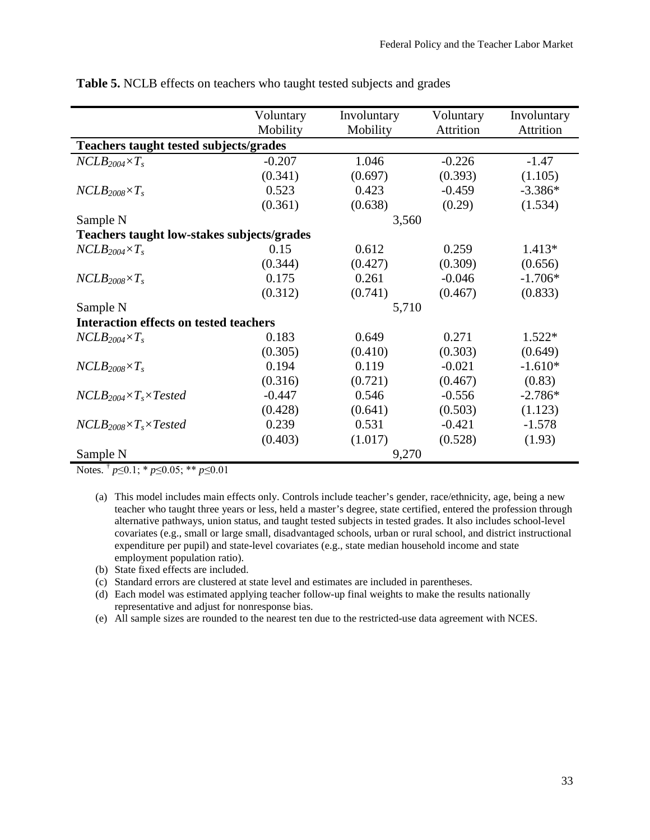|                                               | Voluntary | Involuntary | Voluntary | Involuntary<br>Attrition |  |  |  |  |
|-----------------------------------------------|-----------|-------------|-----------|--------------------------|--|--|--|--|
|                                               | Mobility  | Mobility    | Attrition |                          |  |  |  |  |
| <b>Teachers taught tested subjects/grades</b> |           |             |           |                          |  |  |  |  |
| $NCLB_{2004} \times T_s$                      | $-0.207$  | 1.046       | $-0.226$  | $-1.47$                  |  |  |  |  |
|                                               | (0.341)   | (0.697)     | (0.393)   | (1.105)                  |  |  |  |  |
| $NCLB_{2008} \times T_s$                      | 0.523     | 0.423       | $-0.459$  | $-3.386*$                |  |  |  |  |
|                                               | (0.361)   | (0.638)     | (0.29)    | (1.534)                  |  |  |  |  |
| Sample N                                      |           | 3,560       |           |                          |  |  |  |  |
| Teachers taught low-stakes subjects/grades    |           |             |           |                          |  |  |  |  |
| $NCLB_{2004} \times T_s$                      | 0.15      | 0.612       | 0.259     | $1.413*$                 |  |  |  |  |
|                                               | (0.344)   | (0.427)     | (0.309)   | (0.656)                  |  |  |  |  |
| $NCLB_{2008} \times T_s$                      | 0.175     | 0.261       | $-0.046$  | $-1.706*$                |  |  |  |  |
|                                               | (0.312)   | (0.741)     | (0.467)   | (0.833)                  |  |  |  |  |
| Sample N                                      | 5,710     |             |           |                          |  |  |  |  |
| <b>Interaction effects on tested teachers</b> |           |             |           |                          |  |  |  |  |
| $NCLB_{2004} \times T_s$                      | 0.183     | 0.649       | 0.271     | $1.522*$                 |  |  |  |  |
|                                               | (0.305)   | (0.410)     | (0.303)   | (0.649)                  |  |  |  |  |
| $NCLB_{2008} \times T_s$                      | 0.194     | 0.119       | $-0.021$  | $-1.610*$                |  |  |  |  |
|                                               | (0.316)   | (0.721)     | (0.467)   | (0.83)                   |  |  |  |  |
| $NCLB_{2004} \times T_s \times Tested$        | $-0.447$  | 0.546       | $-0.556$  | $-2.786*$                |  |  |  |  |
|                                               | (0.428)   | (0.641)     | (0.503)   | (1.123)                  |  |  |  |  |
| $NCLB_{2008} \times T_s \times Tested$        | 0.239     | 0.531       | $-0.421$  | $-1.578$                 |  |  |  |  |
|                                               | (0.403)   | (1.017)     | (0.528)   | (1.93)                   |  |  |  |  |
| Sample N                                      |           | 9,270       |           |                          |  |  |  |  |

**Table 5.** NCLB effects on teachers who taught tested subjects and grades

Notes. † *p*≤0.1; \* *p*≤0.05; \*\* *p*≤0.01

- (a) This model includes main effects only. Controls include teacher's gender, race/ethnicity, age, being a new teacher who taught three years or less, held a master's degree, state certified, entered the profession through alternative pathways, union status, and taught tested subjects in tested grades. It also includes school-level covariates (e.g., small or large small, disadvantaged schools, urban or rural school, and district instructional expenditure per pupil) and state-level covariates (e.g., state median household income and state employment population ratio).
- (b) State fixed effects are included.
- (c) Standard errors are clustered at state level and estimates are included in parentheses.
- (d) Each model was estimated applying teacher follow-up final weights to make the results nationally representative and adjust for nonresponse bias.
- (e) All sample sizes are rounded to the nearest ten due to the restricted-use data agreement with NCES.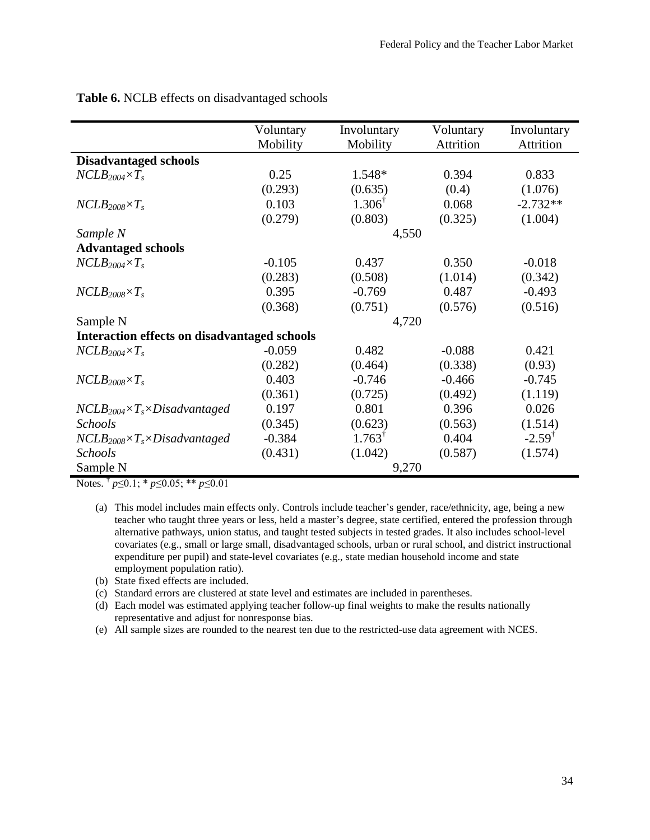|                                                     | Voluntary<br>Mobility | Involuntary<br>Mobility | Voluntary<br>Attrition | Involuntary<br>Attrition |  |
|-----------------------------------------------------|-----------------------|-------------------------|------------------------|--------------------------|--|
| <b>Disadvantaged schools</b>                        |                       |                         |                        |                          |  |
| $NCLB_{2004} \times T_s$                            | 0.25                  | 1.548*                  | 0.394                  | 0.833                    |  |
|                                                     | (0.293)               | (0.635)                 | (0.4)                  | (1.076)                  |  |
| $NCLB_{2008} \times T_s$                            | 0.103                 | $1.306^{\dagger}$       | 0.068                  | $-2.732**$               |  |
|                                                     | (0.279)               | (0.803)                 | (0.325)                | (1.004)                  |  |
| Sample N                                            |                       | 4,550                   |                        |                          |  |
| <b>Advantaged schools</b>                           |                       |                         |                        |                          |  |
| $NCLB_{2004} \times T_s$                            | $-0.105$              | 0.437                   | 0.350                  | $-0.018$                 |  |
|                                                     | (0.283)               | (0.508)                 | (1.014)                | (0.342)                  |  |
| $NCLB_{2008} \times T_s$                            | 0.395                 | $-0.769$                | 0.487                  | $-0.493$                 |  |
|                                                     | (0.368)               | (0.751)                 | (0.576)                | (0.516)                  |  |
| Sample N                                            | 4,720                 |                         |                        |                          |  |
| <b>Interaction effects on disadvantaged schools</b> |                       |                         |                        |                          |  |
| $NCLB_{2004} \times T_s$                            | $-0.059$              | 0.482                   | $-0.088$               | 0.421                    |  |
|                                                     | (0.282)               | (0.464)                 | (0.338)                | (0.93)                   |  |
| $NCLB_{2008} \times T_s$                            | 0.403                 | $-0.746$                | $-0.466$               | $-0.745$                 |  |
|                                                     | (0.361)               | (0.725)                 | (0.492)                | (1.119)                  |  |
| $NCLB_{2004} \times T_s \times Disadvantage$        | 0.197                 | 0.801                   | 0.396                  | 0.026                    |  |
| Schools                                             | (0.345)               | (0.623)                 | (0.563)                | (1.514)                  |  |
| $NCLB_{2008} \times T_s \times Disadvantage$        | $-0.384$              | $1.763^{\dagger}$       | 0.404                  | $-2.59$ <sup>†</sup>     |  |
| <b>Schools</b>                                      | (0.431)               | (1.042)                 | (0.587)                | (1.574)                  |  |
| Sample N                                            |                       | 9,270                   |                        |                          |  |

**Table 6.** NCLB effects on disadvantaged schools

Notes. † *p*≤0.1; \* *p*≤0.05; \*\* *p*≤0.01

- (a) This model includes main effects only. Controls include teacher's gender, race/ethnicity, age, being a new teacher who taught three years or less, held a master's degree, state certified, entered the profession through alternative pathways, union status, and taught tested subjects in tested grades. It also includes school-level covariates (e.g., small or large small, disadvantaged schools, urban or rural school, and district instructional expenditure per pupil) and state-level covariates (e.g., state median household income and state employment population ratio).
- (b) State fixed effects are included.
- (c) Standard errors are clustered at state level and estimates are included in parentheses.
- (d) Each model was estimated applying teacher follow-up final weights to make the results nationally representative and adjust for nonresponse bias.
- (e) All sample sizes are rounded to the nearest ten due to the restricted-use data agreement with NCES.